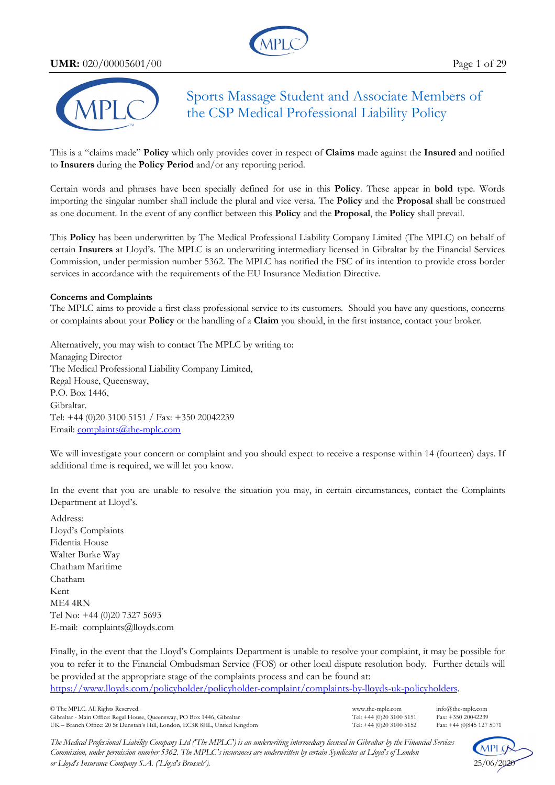**UMR:** 020/00005601/00 Page 1 of 29





Sports Massage Student and Associate Members of the CSP Medical Professional Liability Policy

This is a "claims made" **Policy** which only provides cover in respect of **Claims** made against the **Insured** and notified to **Insurers** during the **Policy Period** and/or any reporting period.

Certain words and phrases have been specially defined for use in this **Policy**. These appear in **bold** type. Words importing the singular number shall include the plural and vice versa. The **Policy** and the **Proposal** shall be construed as one document. In the event of any conflict between this **Policy** and the **Proposal**, the **Policy** shall prevail.

This **Policy** has been underwritten by The Medical Professional Liability Company Limited (The MPLC) on behalf of certain **Insurers** at Lloyd's. The MPLC is an underwriting intermediary licensed in Gibraltar by the Financial Services Commission, under permission number 5362. The MPLC has notified the FSC of its intention to provide cross border services in accordance with the requirements of the EU Insurance Mediation Directive.

#### **Concerns and Complaints**

The MPLC aims to provide a first class professional service to its customers. Should you have any questions, concerns or complaints about your **Policy** or the handling of a **Claim** you should, in the first instance, contact your broker.

Alternatively, you may wish to contact The MPLC by writing to: Managing Director The Medical Professional Liability Company Limited, Regal House, Queensway, P.O. Box 1446, Gibraltar. Tel: +44 (0)20 3100 5151 / Fax: +350 20042239 Email: complaints@the-mplc.com

We will investigate your concern or complaint and you should expect to receive a response within 14 (fourteen) days. If additional time is required, we will let you know.

In the event that you are unable to resolve the situation you may, in certain circumstances, contact the Complaints Department at Lloyd's.

Address: Lloyd's Complaints Fidentia House Walter Burke Way Chatham Maritime Chatham Kent ME4 4RN Tel No: +44 (0)20 7327 5693 E-mail: complaints@lloyds.com

Finally, in the event that the Lloyd's Complaints Department is unable to resolve your complaint, it may be possible for you to refer it to the Financial Ombudsman Service (FOS) or other local dispute resolution body. Further details will be provided at the appropriate stage of the complaints process and can be found at: https://www.lloyds.com/policyholder/policyholder-complaint/complaints-by-lloyds-uk-policyholders.

© The MPLC. All Rights Reserved. www.the-mplc.com info@the-mplc.com Gibraltar - Main Office: Regal House, Queensway, PO Box 1446, Gibraltar Tel: +44 (0)20 3100 5151 Fax: +350 20042239<br>UK – Branch Office: 20 St Dunstan's Hill, London, EC3R 8HL, United Kingdom Tel: +44 (0)20 3100 5152 Fax: + UK – Branch Office: 20 St Dunstan's Hill, London, EC3R 8HL, United Kingdom

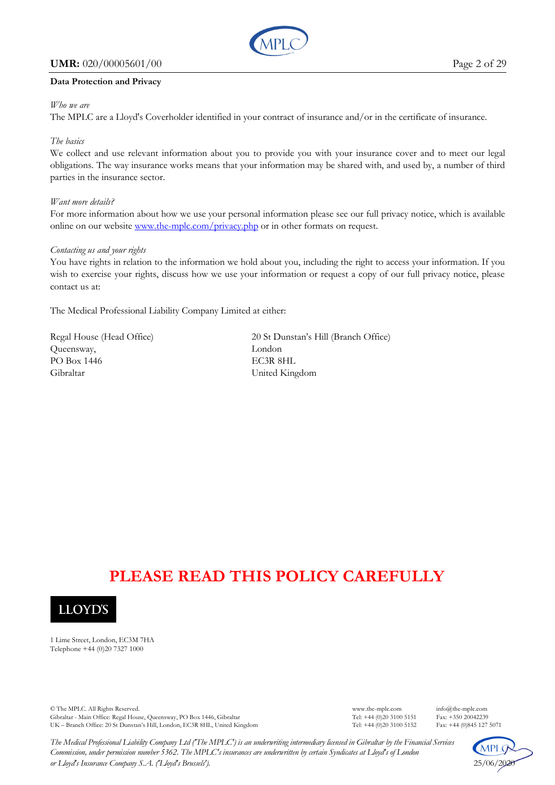#### **UMR:** 020/00005601/00 Page 2 of 29



#### **Data Protection and Privacy**

#### *Who we are*

The MPLC are a Lloyd's Coverholder identified in your contract of insurance and/or in the certificate of insurance.

#### *The basics*

We collect and use relevant information about you to provide you with your insurance cover and to meet our legal obligations. The way insurance works means that your information may be shared with, and used by, a number of third parties in the insurance sector.

#### *Want more details?*

For more information about how we use your personal information please see our full privacy notice, which is available online on our website www.the-mplc.com/privacy.php or in other formats on request.

#### *Contacting us and your rights*

You have rights in relation to the information we hold about you, including the right to access your information. If you wish to exercise your rights, discuss how we use your information or request a copy of our full privacy notice, please contact us at:

The Medical Professional Liability Company Limited at either:

Queensway, London PO Box 1446 EC3R 8HL Gibraltar United Kingdom

Regal House (Head Office) 20 St Dunstan's Hill (Branch Office)

# **PLEASE READ THIS POLICY CAREFULLY**



1 Lime Street, London, EC3M 7HA Telephone +44 (0)20 7327 1000

© The MPLC. All Rights Reserved. www.the-mplc.com info@the-mplc.com Gibraltar - Main Office: Regal House, Queensway, PO Box 1446, Gibraltar Tel: +44 (0)20 3100 5151 Fax: +350 20042239<br>UK – Branch Office: 20 St Dunstan's Hill, London, EC3R 8HL, United Kingdom Tel: +44 (0)20 3100 5152 Fax: + UK – Branch Office: 20 St Dunstan's Hill, London, EC3R 8HL, United Kingdom

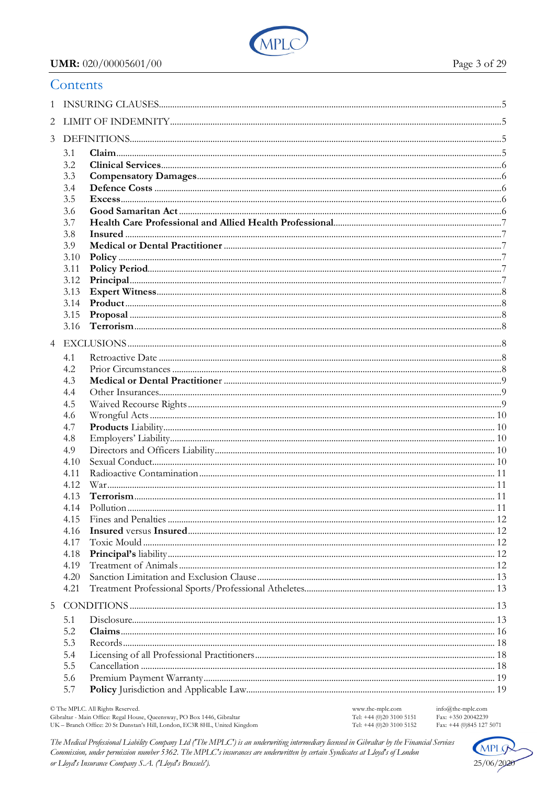

## UMR: 020/00005601/00

|                | Contents     |  |  |  |  |  |  |  |
|----------------|--------------|--|--|--|--|--|--|--|
|                |              |  |  |  |  |  |  |  |
| 2              |              |  |  |  |  |  |  |  |
| $\mathfrak{Z}$ |              |  |  |  |  |  |  |  |
|                | 3.1          |  |  |  |  |  |  |  |
|                | 3.2          |  |  |  |  |  |  |  |
|                | 3.3          |  |  |  |  |  |  |  |
|                | 3.4          |  |  |  |  |  |  |  |
|                | 3.5          |  |  |  |  |  |  |  |
|                | 3.6          |  |  |  |  |  |  |  |
|                | 3.7          |  |  |  |  |  |  |  |
|                | 3.8          |  |  |  |  |  |  |  |
|                | 3.9<br>3.10  |  |  |  |  |  |  |  |
|                | 3.11         |  |  |  |  |  |  |  |
|                | 3.12         |  |  |  |  |  |  |  |
|                | 3.13         |  |  |  |  |  |  |  |
|                |              |  |  |  |  |  |  |  |
|                | 3.15         |  |  |  |  |  |  |  |
|                |              |  |  |  |  |  |  |  |
| $\overline{4}$ |              |  |  |  |  |  |  |  |
|                | 4.1          |  |  |  |  |  |  |  |
|                | 4.2          |  |  |  |  |  |  |  |
|                | 4.3          |  |  |  |  |  |  |  |
|                | 4.4          |  |  |  |  |  |  |  |
|                | 4.5          |  |  |  |  |  |  |  |
|                | 4.6          |  |  |  |  |  |  |  |
|                | 4.7          |  |  |  |  |  |  |  |
|                | 4.8          |  |  |  |  |  |  |  |
|                | 4.9<br>4.10  |  |  |  |  |  |  |  |
|                | 4.11         |  |  |  |  |  |  |  |
|                | 4.12         |  |  |  |  |  |  |  |
|                | 4.13         |  |  |  |  |  |  |  |
|                | 4.14         |  |  |  |  |  |  |  |
|                | 4.15         |  |  |  |  |  |  |  |
|                | 4.16         |  |  |  |  |  |  |  |
|                | 4.17         |  |  |  |  |  |  |  |
|                | 4.18         |  |  |  |  |  |  |  |
|                | 4.19         |  |  |  |  |  |  |  |
|                | 4.20<br>4.21 |  |  |  |  |  |  |  |
|                |              |  |  |  |  |  |  |  |
| 5              |              |  |  |  |  |  |  |  |
|                | 5.1          |  |  |  |  |  |  |  |
|                | 5.2<br>5.3   |  |  |  |  |  |  |  |
|                | 5.4          |  |  |  |  |  |  |  |
|                | 5.5          |  |  |  |  |  |  |  |
|                | 5.6          |  |  |  |  |  |  |  |
|                | 5.7          |  |  |  |  |  |  |  |
|                |              |  |  |  |  |  |  |  |

© The MPLC. All Rights Reserved. Schraftar - Main Office: Regal House, Queensway, PO Box 1446, Gibraltar<br>UK – Branch Office: Regal House, Queensway, PO Box 1446, Gibraltar<br>UK – Branch Office: 20 St Dunstan's Hill, London, EC3R 8HL, United Kingdom

www.the-mplc.com Tel: +44 (0)20 3100 5151<br>Tel: +44 (0)20 3100 5152 info@the-mplc.com Fax: +350 20042239 Fax: +44 (0)845 127 5071

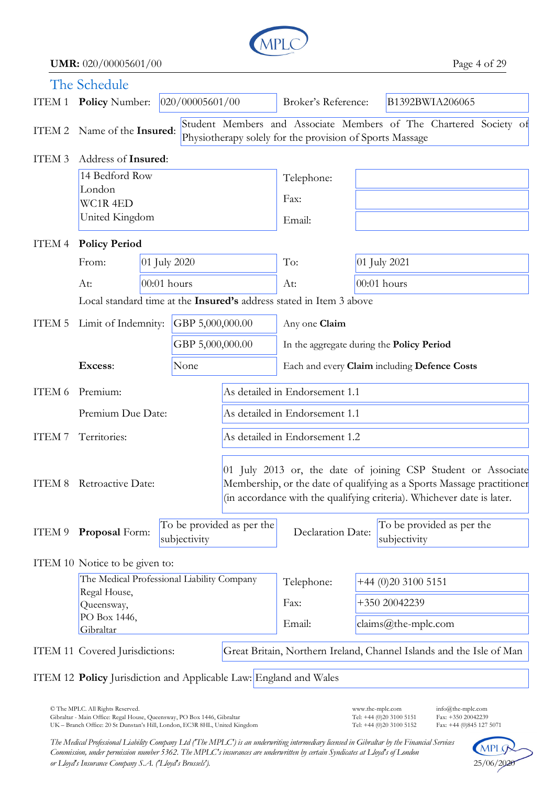

**UMR:** 020/00005601/00 Page 4 of 29

|                                          | The Schedule                                                             |               |                  |                                                                                                                                                                                                                   |                                           |               |                                                                      |  |
|------------------------------------------|--------------------------------------------------------------------------|---------------|------------------|-------------------------------------------------------------------------------------------------------------------------------------------------------------------------------------------------------------------|-------------------------------------------|---------------|----------------------------------------------------------------------|--|
|                                          | ITEM 1 Policy Number:                                                    |               | 020/00005601/00  |                                                                                                                                                                                                                   | Broker's Reference:                       |               | B1392BWIA206065                                                      |  |
|                                          | ITEM 2 Name of the Insured:                                              |               |                  | Student Members and Associate Members of The Chartered Society of<br>Physiotherapy solely for the provision of Sports Massage                                                                                     |                                           |               |                                                                      |  |
| Address of Insured:<br>ITEM <sub>3</sub> |                                                                          |               |                  |                                                                                                                                                                                                                   |                                           |               |                                                                      |  |
|                                          | 14 Bedford Row                                                           |               |                  |                                                                                                                                                                                                                   | Telephone:                                |               |                                                                      |  |
|                                          | London<br>WC1R <sub>4ED</sub><br>United Kingdom                          |               |                  |                                                                                                                                                                                                                   | Fax:                                      |               |                                                                      |  |
|                                          |                                                                          |               |                  |                                                                                                                                                                                                                   | Email:                                    |               |                                                                      |  |
| <b>Policy Period</b><br>ITEM 4           |                                                                          |               |                  |                                                                                                                                                                                                                   |                                           |               |                                                                      |  |
|                                          | From:                                                                    | 01 July 2020  |                  |                                                                                                                                                                                                                   | To:                                       | 01 July 2021  |                                                                      |  |
|                                          | At:                                                                      | $00:01$ hours |                  |                                                                                                                                                                                                                   | At:                                       | $00:01$ hours |                                                                      |  |
|                                          |                                                                          |               |                  | Local standard time at the Insured's address stated in Item 3 above                                                                                                                                               |                                           |               |                                                                      |  |
| ITEM 5                                   | Limit of Indemnity:                                                      |               | GBP 5,000,000.00 |                                                                                                                                                                                                                   | Any one Claim                             |               |                                                                      |  |
|                                          |                                                                          |               | GBP 5,000,000.00 |                                                                                                                                                                                                                   | In the aggregate during the Policy Period |               |                                                                      |  |
|                                          | Excess:<br>None                                                          |               |                  | Each and every Claim including Defence Costs                                                                                                                                                                      |                                           |               |                                                                      |  |
| ITEM 6                                   | Premium:                                                                 |               |                  | As detailed in Endorsement 1.1                                                                                                                                                                                    |                                           |               |                                                                      |  |
|                                          | Premium Due Date:                                                        |               |                  |                                                                                                                                                                                                                   | As detailed in Endorsement 1.1            |               |                                                                      |  |
| ITEM 7                                   | Territories:                                                             |               |                  | As detailed in Endorsement 1.2                                                                                                                                                                                    |                                           |               |                                                                      |  |
|                                          | ITEM 8 Retroactive Date:                                                 |               |                  | 01 July 2013 or, the date of joining CSP Student or Associate<br>Membership, or the date of qualifying as a Sports Massage practitioner<br>(in accordance with the qualifying criteria). Whichever date is later. |                                           |               |                                                                      |  |
| ITEM 9                                   | Proposal Form:                                                           |               | subjectivity     | To be provided as per the                                                                                                                                                                                         | Declaration Date:                         |               | To be provided as per the<br>subjectivity                            |  |
|                                          | ITEM 10 Notice to be given to:                                           |               |                  |                                                                                                                                                                                                                   |                                           |               |                                                                      |  |
|                                          | The Medical Professional Liability Company<br>Regal House,<br>Queensway, |               |                  |                                                                                                                                                                                                                   | Telephone:                                |               | +44 (0)20 3100 5151                                                  |  |
|                                          |                                                                          |               |                  |                                                                                                                                                                                                                   | Fax:                                      | +350 20042239 |                                                                      |  |
| PO Box 1446,<br>Gibraltar                |                                                                          |               |                  |                                                                                                                                                                                                                   | Email:                                    |               | $clains@the-mplc.com$                                                |  |
|                                          | ITEM 11 Covered Jurisdictions:                                           |               |                  |                                                                                                                                                                                                                   |                                           |               | Great Britain, Northern Ireland, Channel Islands and the Isle of Man |  |
|                                          | ITEM 12 Policy Jurisdiction and Applicable Law: England and Wales        |               |                  |                                                                                                                                                                                                                   |                                           |               |                                                                      |  |

© The MPLC. All Rights Reserved. www.the-mplc.com info@the-mplc.com Gibraltar - Main Office: Regal House, Queensway, PO Box 1446, Gibraltar Tel: +44 (0)20 3100 5151 Fax: +350 20042239 UK – Branch Office: 20 St Dunstan's Hill, London, EC3R 8HL, United Kingdom Tel: +44 (0)20 3100 5152 Fax: +44 (0)845 127 5071

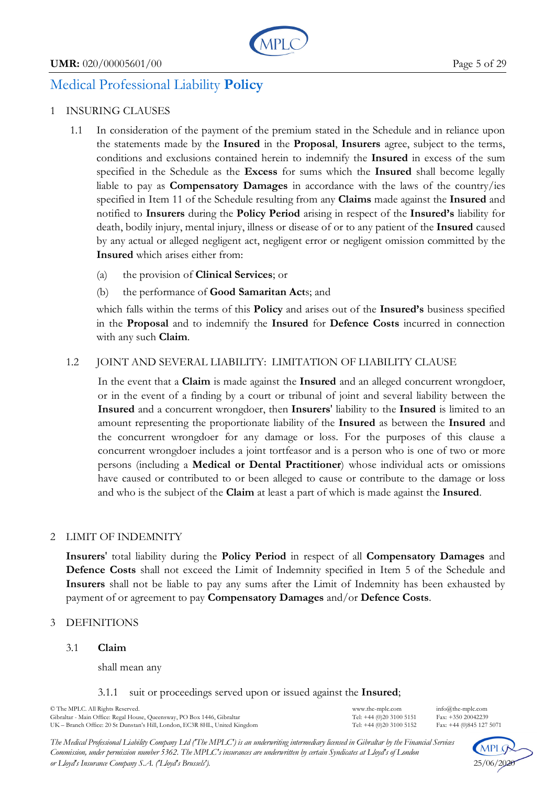

# Medical Professional Liability **Policy**

# 1 INSURING CLAUSES

- 1.1 In consideration of the payment of the premium stated in the Schedule and in reliance upon the statements made by the **Insured** in the **Proposal**, **Insurers** agree, subject to the terms, conditions and exclusions contained herein to indemnify the **Insured** in excess of the sum specified in the Schedule as the **Excess** for sums which the **Insured** shall become legally liable to pay as **Compensatory Damages** in accordance with the laws of the country/ies specified in Item 11 of the Schedule resulting from any **Claims** made against the **Insured** and notified to **Insurers** during the **Policy Period** arising in respect of the **Insured's** liability for death, bodily injury, mental injury, illness or disease of or to any patient of the **Insured** caused by any actual or alleged negligent act, negligent error or negligent omission committed by the **Insured** which arises either from:
	- (a) the provision of **Clinical Services**; or
	- (b) the performance of **Good Samaritan Act**s; and

 which falls within the terms of this **Policy** and arises out of the **Insured's** business specified in the **Proposal** and to indemnify the **Insured** for **Defence Costs** incurred in connection with any such **Claim**.

# 1.2 JOINT AND SEVERAL LIABILITY: LIMITATION OF LIABILITY CLAUSE

In the event that a **Claim** is made against the **Insured** and an alleged concurrent wrongdoer, or in the event of a finding by a court or tribunal of joint and several liability between the **Insured** and a concurrent wrongdoer, then **Insurers**' liability to the **Insured** is limited to an amount representing the proportionate liability of the **Insured** as between the **Insured** and the concurrent wrongdoer for any damage or loss. For the purposes of this clause a concurrent wrongdoer includes a joint tortfeasor and is a person who is one of two or more persons (including a **Medical or Dental Practitioner**) whose individual acts or omissions have caused or contributed to or been alleged to cause or contribute to the damage or loss and who is the subject of the **Claim** at least a part of which is made against the **Insured**.

# 2 LIMIT OF INDEMNITY

**Insurers**' total liability during the **Policy Period** in respect of all **Compensatory Damages** and **Defence Costs** shall not exceed the Limit of Indemnity specified in Item 5 of the Schedule and **Insurers** shall not be liable to pay any sums after the Limit of Indemnity has been exhausted by payment of or agreement to pay **Compensatory Damages** and/or **Defence Costs**.

# 3 DEFINITIONS

### 3.1 **Claim**

shall mean any

#### 3.1.1 suit or proceedings served upon or issued against the **Insured**;

© The MPLC. All Rights Reserved. www.the-mplc.com info@the-mplc.com Gibraltar - Main Office: Regal House, Queensway, PO Box 1446, Gibraltar Tel: +44 (0)20 3100 5151 Fax: +350 20042239<br>UK – Branch Office: 20 St Dunstan's Hill London. EC3R 8HL United Kingdom Tel: +44 (0)20 3100 5152 Fax: +44 UK – Branch Office: 20 St Dunstan's Hill, London, EC3R 8HL, United Kingdom

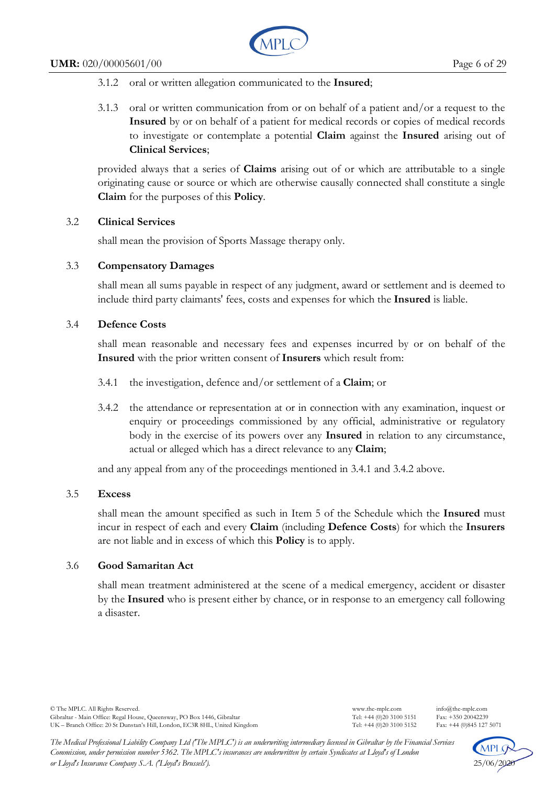

- 3.1.2 oral or written allegation communicated to the **Insured**;
- 3.1.3 oral or written communication from or on behalf of a patient and/or a request to the **Insured** by or on behalf of a patient for medical records or copies of medical records to investigate or contemplate a potential **Claim** against the **Insured** arising out of **Clinical Services**;

provided always that a series of **Claims** arising out of or which are attributable to a single originating cause or source or which are otherwise causally connected shall constitute a single **Claim** for the purposes of this **Policy**.

# 3.2 **Clinical Services**

shall mean the provision of Sports Massage therapy only.

# 3.3 **Compensatory Damages**

shall mean all sums payable in respect of any judgment, award or settlement and is deemed to include third party claimants' fees, costs and expenses for which the **Insured** is liable.

# 3.4 **Defence Costs**

shall mean reasonable and necessary fees and expenses incurred by or on behalf of the **Insured** with the prior written consent of **Insurers** which result from:

- 3.4.1 the investigation, defence and/or settlement of a **Claim**; or
- 3.4.2 the attendance or representation at or in connection with any examination, inquest or enquiry or proceedings commissioned by any official, administrative or regulatory body in the exercise of its powers over any **Insured** in relation to any circumstance, actual or alleged which has a direct relevance to any **Claim**;

and any appeal from any of the proceedings mentioned in 3.4.1 and 3.4.2 above.

### 3.5 **Excess**

shall mean the amount specified as such in Item 5 of the Schedule which the **Insured** must incur in respect of each and every **Claim** (including **Defence Costs**) for which the **Insurers** are not liable and in excess of which this **Policy** is to apply.

# 3.6 **Good Samaritan Act**

shall mean treatment administered at the scene of a medical emergency, accident or disaster by the **Insured** who is present either by chance, or in response to an emergency call following a disaster.

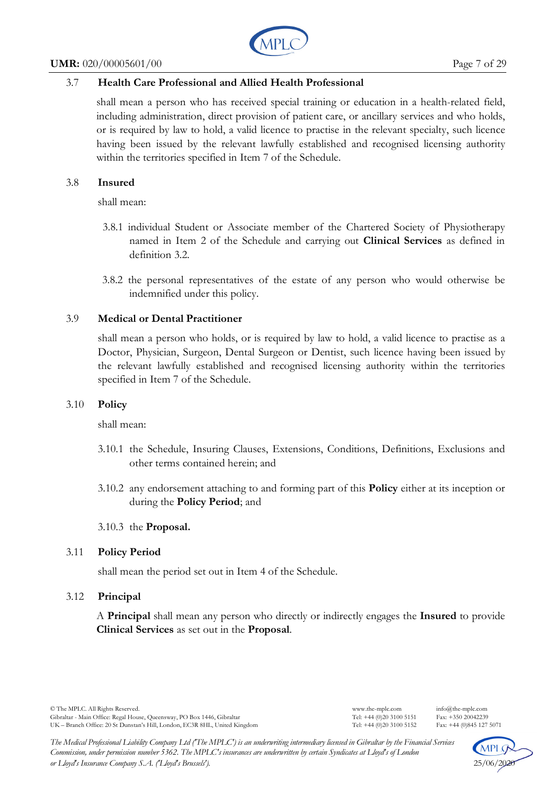#### **UMR:** 020/00005601/00 Page 7 of 29



# 3.7 **Health Care Professional and Allied Health Professional**

shall mean a person who has received special training or education in a health-related field, including administration, direct provision of patient care, or ancillary services and who holds, or is required by law to hold, a valid licence to practise in the relevant specialty, such licence having been issued by the relevant lawfully established and recognised licensing authority within the territories specified in Item 7 of the Schedule.

#### 3.8 **Insured**

shall mean:

- 3.8.1 individual Student or Associate member of the Chartered Society of Physiotherapy named in Item 2 of the Schedule and carrying out **Clinical Services** as defined in definition 3.2.
- 3.8.2 the personal representatives of the estate of any person who would otherwise be indemnified under this policy.

### 3.9 **Medical or Dental Practitioner**

shall mean a person who holds, or is required by law to hold, a valid licence to practise as a Doctor, Physician, Surgeon, Dental Surgeon or Dentist, such licence having been issued by the relevant lawfully established and recognised licensing authority within the territories specified in Item 7 of the Schedule.

### 3.10 **Policy**

shall mean:

- 3.10.1 the Schedule, Insuring Clauses, Extensions, Conditions, Definitions, Exclusions and other terms contained herein; and
- 3.10.2 any endorsement attaching to and forming part of this **Policy** either at its inception or during the **Policy Period**; and

### 3.10.3 the **Proposal.**

### 3.11 **Policy Period**

shall mean the period set out in Item 4 of the Schedule.

### 3.12 **Principal**

A **Principal** shall mean any person who directly or indirectly engages the **Insured** to provide **Clinical Services** as set out in the **Proposal**.

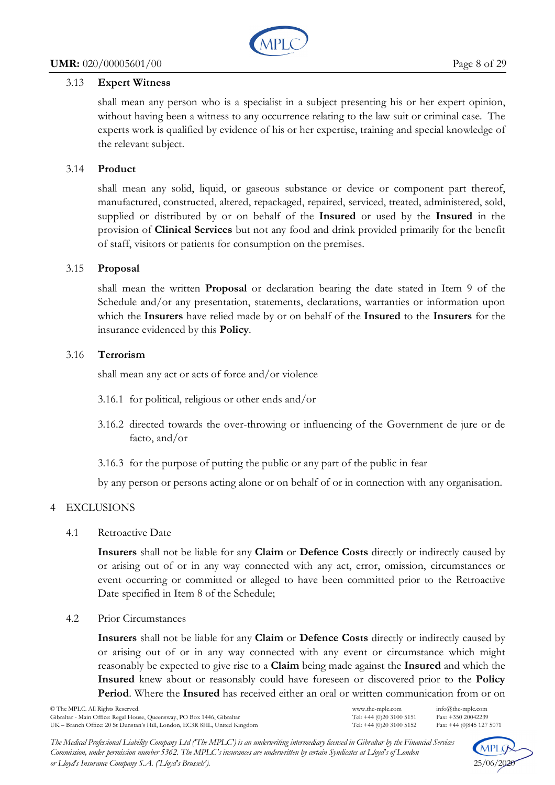

# 3.13 **Expert Witness**

shall mean any person who is a specialist in a subject presenting his or her expert opinion, without having been a witness to any occurrence relating to the law suit or criminal case. The experts work is qualified by evidence of his or her expertise, training and special knowledge of the relevant subject.

# 3.14 **Product**

shall mean any solid, liquid, or gaseous substance or device or component part thereof, manufactured, constructed, altered, repackaged, repaired, serviced, treated, administered, sold, supplied or distributed by or on behalf of the **Insured** or used by the **Insured** in the provision of **Clinical Services** but not any food and drink provided primarily for the benefit of staff, visitors or patients for consumption on the premises.

# 3.15 **Proposal**

shall mean the written **Proposal** or declaration bearing the date stated in Item 9 of the Schedule and/or any presentation, statements, declarations, warranties or information upon which the **Insurers** have relied made by or on behalf of the **Insured** to the **Insurers** for the insurance evidenced by this **Policy**.

# 3.16 **Terrorism**

shall mean any act or acts of force and/or violence

- 3.16.1 for political, religious or other ends and/or
- 3.16.2 directed towards the over-throwing or influencing of the Government de jure or de facto, and/or
- 3.16.3 for the purpose of putting the public or any part of the public in fear

by any person or persons acting alone or on behalf of or in connection with any organisation.

# 4 EXCLUSIONS

4.1 Retroactive Date

**Insurers** shall not be liable for any **Claim** or **Defence Costs** directly or indirectly caused by or arising out of or in any way connected with any act, error, omission, circumstances or event occurring or committed or alleged to have been committed prior to the Retroactive Date specified in Item 8 of the Schedule;

4.2 Prior Circumstances

**Insurers** shall not be liable for any **Claim** or **Defence Costs** directly or indirectly caused by or arising out of or in any way connected with any event or circumstance which might reasonably be expected to give rise to a **Claim** being made against the **Insured** and which the **Insured** knew about or reasonably could have foreseen or discovered prior to the **Policy Period**. Where the **Insured** has received either an oral or written communication from or on

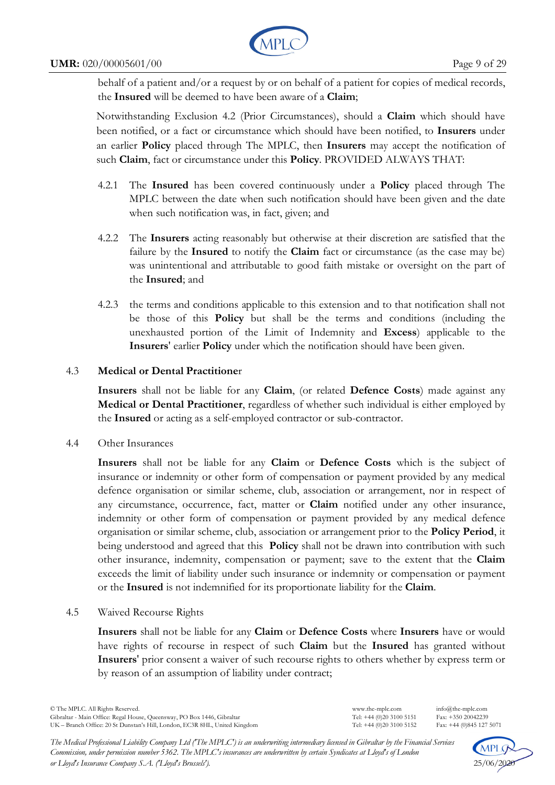

#### **UMR:** 020/00005601/00 Page 9 of 29

behalf of a patient and/or a request by or on behalf of a patient for copies of medical records, the **Insured** will be deemed to have been aware of a **Claim**;

Notwithstanding Exclusion 4.2 (Prior Circumstances), should a **Claim** which should have been notified, or a fact or circumstance which should have been notified, to **Insurers** under an earlier **Policy** placed through The MPLC, then **Insurers** may accept the notification of such **Claim**, fact or circumstance under this **Policy**. PROVIDED ALWAYS THAT:

- 4.2.1 The **Insured** has been covered continuously under a **Policy** placed through The MPLC between the date when such notification should have been given and the date when such notification was, in fact, given; and
- 4.2.2 The **Insurers** acting reasonably but otherwise at their discretion are satisfied that the failure by the **Insured** to notify the **Claim** fact or circumstance (as the case may be) was unintentional and attributable to good faith mistake or oversight on the part of the **Insured**; and
- 4.2.3 the terms and conditions applicable to this extension and to that notification shall not be those of this **Policy** but shall be the terms and conditions (including the unexhausted portion of the Limit of Indemnity and **Excess**) applicable to the **Insurers**' earlier **Policy** under which the notification should have been given.

# 4.3 **Medical or Dental Practitione**r

**Insurers** shall not be liable for any **Claim**, (or related **Defence Costs**) made against any **Medical or Dental Practitioner**, regardless of whether such individual is either employed by the **Insured** or acting as a self-employed contractor or sub-contractor.

4.4 Other Insurances

**Insurers** shall not be liable for any **Claim** or **Defence Costs** which is the subject of insurance or indemnity or other form of compensation or payment provided by any medical defence organisation or similar scheme, club, association or arrangement, nor in respect of any circumstance, occurrence, fact, matter or **Claim** notified under any other insurance, indemnity or other form of compensation or payment provided by any medical defence organisation or similar scheme, club, association or arrangement prior to the **Policy Period**, it being understood and agreed that this **Policy** shall not be drawn into contribution with such other insurance, indemnity, compensation or payment; save to the extent that the **Claim** exceeds the limit of liability under such insurance or indemnity or compensation or payment or the **Insured** is not indemnified for its proportionate liability for the **Claim**.

4.5 Waived Recourse Rights

**Insurers** shall not be liable for any **Claim** or **Defence Costs** where **Insurers** have or would have rights of recourse in respect of such **Claim** but the **Insured** has granted without **Insurers**' prior consent a waiver of such recourse rights to others whether by express term or by reason of an assumption of liability under contract;

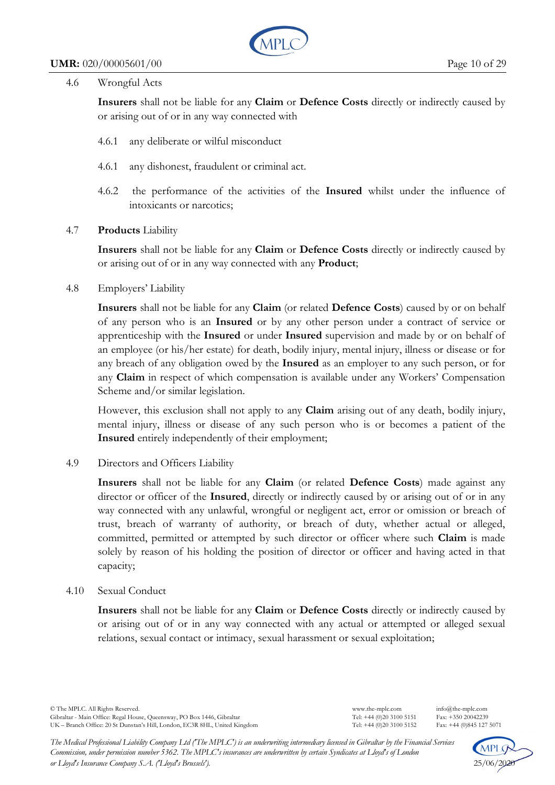

### 4.6 Wrongful Acts

**Insurers** shall not be liable for any **Claim** or **Defence Costs** directly or indirectly caused by or arising out of or in any way connected with

- 4.6.1 any deliberate or wilful misconduct
- 4.6.1 any dishonest, fraudulent or criminal act.
- 4.6.2 the performance of the activities of the **Insured** whilst under the influence of intoxicants or narcotics;

# 4.7 **Products** Liability

**Insurers** shall not be liable for any **Claim** or **Defence Costs** directly or indirectly caused by or arising out of or in any way connected with any **Product**;

# 4.8 Employers' Liability

**Insurers** shall not be liable for any **Claim** (or related **Defence Costs**) caused by or on behalf of any person who is an **Insured** or by any other person under a contract of service or apprenticeship with the **Insured** or under **Insured** supervision and made by or on behalf of an employee (or his/her estate) for death, bodily injury, mental injury, illness or disease or for any breach of any obligation owed by the **Insured** as an employer to any such person, or for any **Claim** in respect of which compensation is available under any Workers' Compensation Scheme and/or similar legislation.

However, this exclusion shall not apply to any **Claim** arising out of any death, bodily injury, mental injury, illness or disease of any such person who is or becomes a patient of the **Insured** entirely independently of their employment;

# 4.9 Directors and Officers Liability

**Insurers** shall not be liable for any **Claim** (or related **Defence Costs**) made against any director or officer of the **Insured**, directly or indirectly caused by or arising out of or in any way connected with any unlawful, wrongful or negligent act, error or omission or breach of trust, breach of warranty of authority, or breach of duty, whether actual or alleged, committed, permitted or attempted by such director or officer where such **Claim** is made solely by reason of his holding the position of director or officer and having acted in that capacity;

### 4.10 Sexual Conduct

**Insurers** shall not be liable for any **Claim** or **Defence Costs** directly or indirectly caused by or arising out of or in any way connected with any actual or attempted or alleged sexual relations, sexual contact or intimacy, sexual harassment or sexual exploitation;

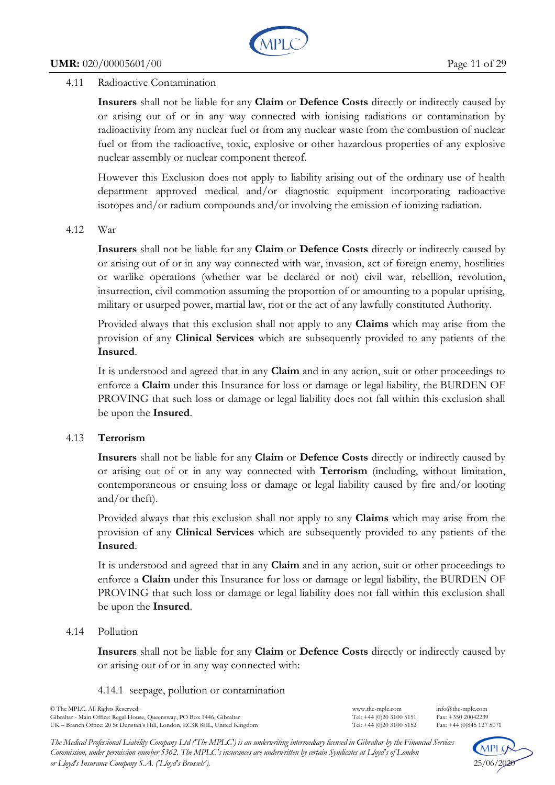

## 4.11 Radioactive Contamination

**Insurers** shall not be liable for any **Claim** or **Defence Costs** directly or indirectly caused by or arising out of or in any way connected with ionising radiations or contamination by radioactivity from any nuclear fuel or from any nuclear waste from the combustion of nuclear fuel or from the radioactive, toxic, explosive or other hazardous properties of any explosive nuclear assembly or nuclear component thereof.

However this Exclusion does not apply to liability arising out of the ordinary use of health department approved medical and/or diagnostic equipment incorporating radioactive isotopes and/or radium compounds and/or involving the emission of ionizing radiation.

### 4.12 War

**Insurers** shall not be liable for any **Claim** or **Defence Costs** directly or indirectly caused by or arising out of or in any way connected with war, invasion, act of foreign enemy, hostilities or warlike operations (whether war be declared or not) civil war, rebellion, revolution, insurrection, civil commotion assuming the proportion of or amounting to a popular uprising, military or usurped power, martial law, riot or the act of any lawfully constituted Authority.

Provided always that this exclusion shall not apply to any **Claims** which may arise from the provision of any **Clinical Services** which are subsequently provided to any patients of the **Insured**.

It is understood and agreed that in any **Claim** and in any action, suit or other proceedings to enforce a **Claim** under this Insurance for loss or damage or legal liability, the BURDEN OF PROVING that such loss or damage or legal liability does not fall within this exclusion shall be upon the **Insured**.

# 4.13 **Terrorism**

**Insurers** shall not be liable for any **Claim** or **Defence Costs** directly or indirectly caused by or arising out of or in any way connected with **Terrorism** (including, without limitation, contemporaneous or ensuing loss or damage or legal liability caused by fire and/or looting and/or theft).

Provided always that this exclusion shall not apply to any **Claims** which may arise from the provision of any **Clinical Services** which are subsequently provided to any patients of the **Insured**.

It is understood and agreed that in any **Claim** and in any action, suit or other proceedings to enforce a **Claim** under this Insurance for loss or damage or legal liability, the BURDEN OF PROVING that such loss or damage or legal liability does not fall within this exclusion shall be upon the **Insured**.

### 4.14 Pollution

**Insurers** shall not be liable for any **Claim** or **Defence Costs** directly or indirectly caused by or arising out of or in any way connected with:

4.14.1 seepage, pollution or contamination

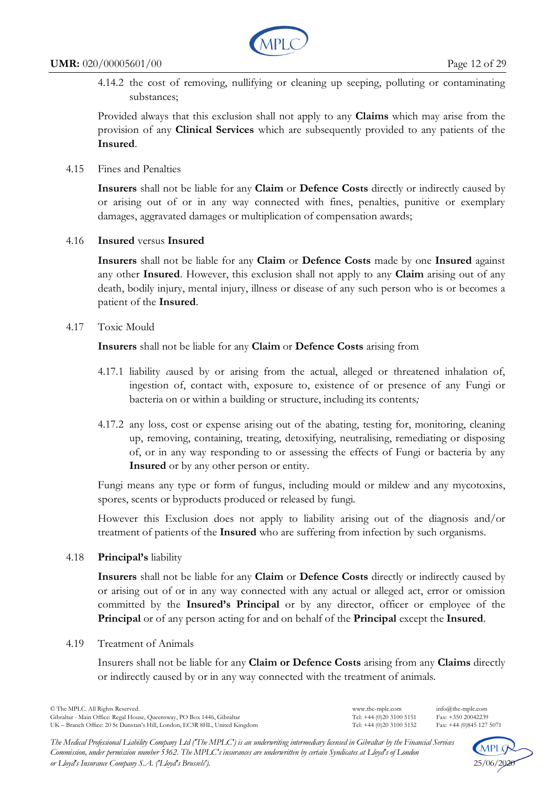

4.14.2 the cost of removing, nullifying or cleaning up seeping, polluting or contaminating substances;

Provided always that this exclusion shall not apply to any **Claims** which may arise from the provision of any **Clinical Services** which are subsequently provided to any patients of the **Insured**.

4.15 Fines and Penalties

**Insurers** shall not be liable for any **Claim** or **Defence Costs** directly or indirectly caused by or arising out of or in any way connected with fines, penalties, punitive or exemplary damages, aggravated damages or multiplication of compensation awards;

4.16 **Insured** versus **Insured**

**Insurers** shall not be liable for any **Claim** or **Defence Costs** made by one **Insured** against any other **Insured**. However, this exclusion shall not apply to any **Claim** arising out of any death, bodily injury, mental injury, illness or disease of any such person who is or becomes a patient of the **Insured**.

4.17 Toxic Mould

**Insurers** shall not be liable for any **Claim** or **Defence Costs** arising from

- 4.17.1 liability *c*aused by or arising from the actual, alleged or threatened inhalation of, ingestion of, contact with, exposure to, existence of or presence of any Fungi or bacteria on or within a building or structure, including its contents*;*
- 4.17.2 any loss, cost or expense arising out of the abating, testing for, monitoring, cleaning up, removing, containing, treating, detoxifying, neutralising, remediating or disposing of, or in any way responding to or assessing the effects of Fungi or bacteria by any **Insured** or by any other person or entity.

Fungi means any type or form of fungus, including mould or mildew and any mycotoxins, spores, scents or byproducts produced or released by fungi*.* 

However this Exclusion does not apply to liability arising out of the diagnosis and/or treatment of patients of the **Insured** who are suffering from infection by such organisms.

4.18 **Principal's** liability

**Insurers** shall not be liable for any **Claim** or **Defence Costs** directly or indirectly caused by or arising out of or in any way connected with any actual or alleged act, error or omission committed by the **Insured's Principal** or by any director, officer or employee of the **Principal** or of any person acting for and on behalf of the **Principal** except the **Insured**.

4.19 Treatment of Animals

Insurers shall not be liable for any **Claim or Defence Costs** arising from any **Claims** directly or indirectly caused by or in any way connected with the treatment of animals.

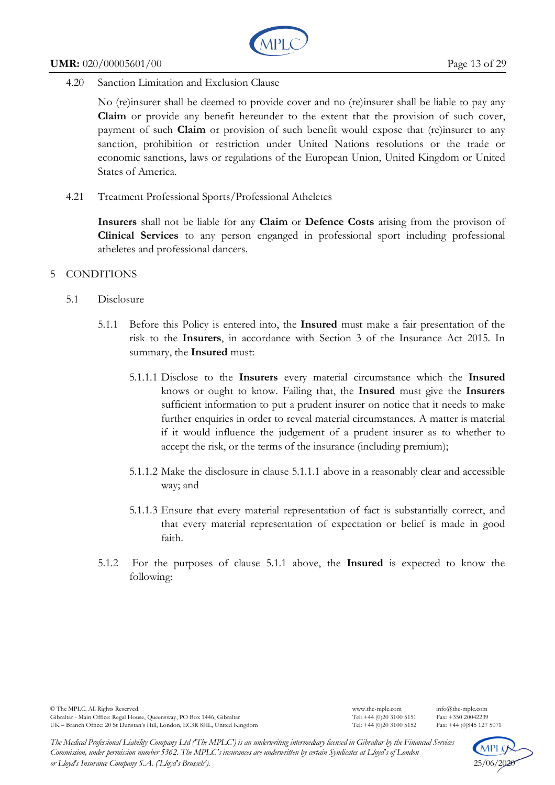

4.20 Sanction Limitation and Exclusion Clause

No (re)insurer shall be deemed to provide cover and no (re)insurer shall be liable to pay any **Claim** or provide any benefit hereunder to the extent that the provision of such cover, payment of such **Claim** or provision of such benefit would expose that (re)insurer to any sanction, prohibition or restriction under United Nations resolutions or the trade or economic sanctions, laws or regulations of the European Union, United Kingdom or United States of America.

4.21 Treatment Professional Sports/Professional Atheletes

**Insurers** shall not be liable for any **Claim** or **Defence Costs** arising from the provison of **Clinical Services** to any person enganged in professional sport including professional atheletes and professional dancers.

- 5 CONDITIONS
	- 5.1 Disclosure
		- 5.1.1 Before this Policy is entered into, the **Insured** must make a fair presentation of the risk to the **Insurers**, in accordance with Section 3 of the Insurance Act 2015. In summary, the **Insured** must:
			- 5.1.1.1 Disclose to the **Insurers** every material circumstance which the **Insured** knows or ought to know. Failing that, the **Insured** must give the **Insurers** sufficient information to put a prudent insurer on notice that it needs to make further enquiries in order to reveal material circumstances. A matter is material if it would influence the judgement of a prudent insurer as to whether to accept the risk, or the terms of the insurance (including premium);
			- 5.1.1.2 Make the disclosure in clause 5.1.1.1 above in a reasonably clear and accessible way; and
			- 5.1.1.3 Ensure that every material representation of fact is substantially correct, and that every material representation of expectation or belief is made in good faith.
		- 5.1.2 For the purposes of clause 5.1.1 above, the **Insured** is expected to know the following:

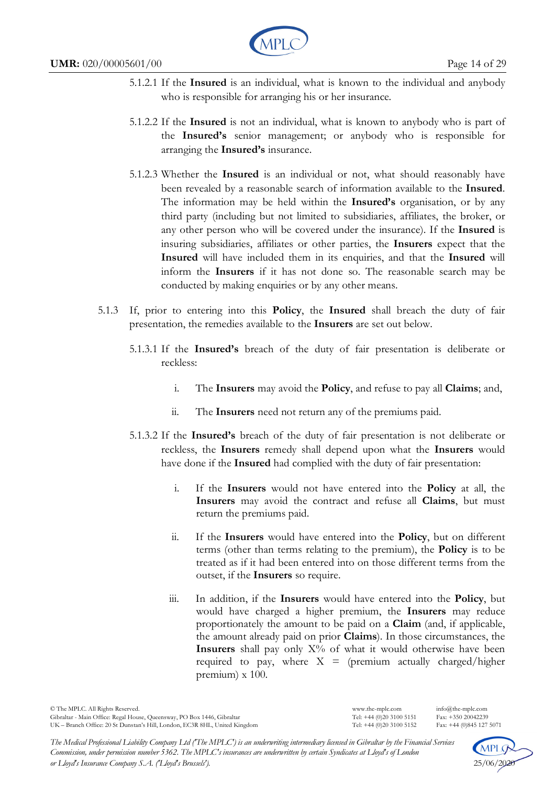

- 5.1.2.1 If the **Insured** is an individual, what is known to the individual and anybody who is responsible for arranging his or her insurance.
- 5.1.2.2 If the **Insured** is not an individual, what is known to anybody who is part of the **Insured's** senior management; or anybody who is responsible for arranging the **Insured's** insurance.
- 5.1.2.3 Whether the **Insured** is an individual or not, what should reasonably have been revealed by a reasonable search of information available to the **Insured**. The information may be held within the **Insured's** organisation, or by any third party (including but not limited to subsidiaries, affiliates, the broker, or any other person who will be covered under the insurance). If the **Insured** is insuring subsidiaries, affiliates or other parties, the **Insurers** expect that the **Insured** will have included them in its enquiries, and that the **Insured** will inform the **Insurers** if it has not done so. The reasonable search may be conducted by making enquiries or by any other means.
- 5.1.3 If, prior to entering into this **Policy**, the **Insured** shall breach the duty of fair presentation, the remedies available to the **Insurers** are set out below.
	- 5.1.3.1 If the **Insured's** breach of the duty of fair presentation is deliberate or reckless:
		- i. The **Insurers** may avoid the **Policy**, and refuse to pay all **Claims**; and,
		- ii. The **Insurers** need not return any of the premiums paid.
	- 5.1.3.2 If the **Insured's** breach of the duty of fair presentation is not deliberate or reckless, the **Insurers** remedy shall depend upon what the **Insurers** would have done if the **Insured** had complied with the duty of fair presentation:
		- i. If the **Insurers** would not have entered into the **Policy** at all, the **Insurers** may avoid the contract and refuse all **Claims**, but must return the premiums paid.
		- ii. If the **Insurers** would have entered into the **Policy**, but on different terms (other than terms relating to the premium), the **Policy** is to be treated as if it had been entered into on those different terms from the outset, if the **Insurers** so require.
		- iii. In addition, if the **Insurers** would have entered into the **Policy**, but would have charged a higher premium, the **Insurers** may reduce proportionately the amount to be paid on a **Claim** (and, if applicable, the amount already paid on prior **Claims**). In those circumstances, the **Insurers** shall pay only  $X\%$  of what it would otherwise have been required to pay, where  $X = (premium actually charged/higher$ premium) x 100.

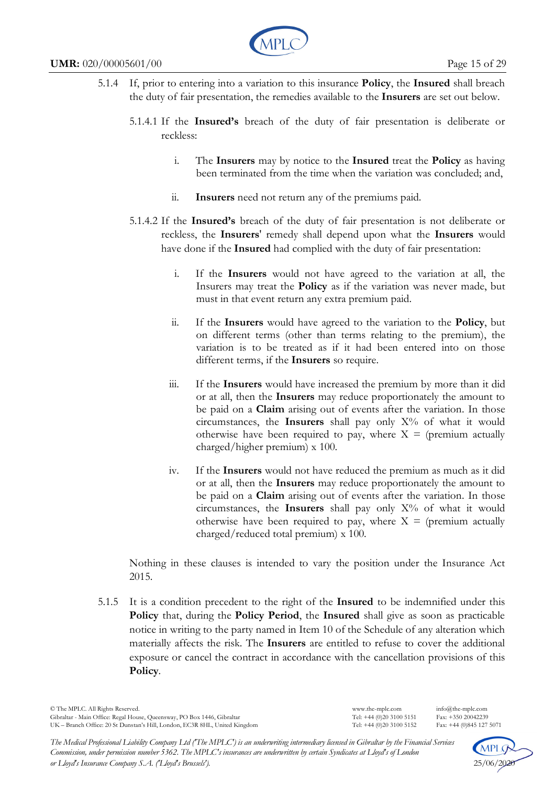

- 5.1.4 If, prior to entering into a variation to this insurance **Policy**, the **Insured** shall breach the duty of fair presentation, the remedies available to the **Insurers** are set out below.
	- 5.1.4.1 If the **Insured's** breach of the duty of fair presentation is deliberate or reckless:
		- i. The **Insurers** may by notice to the **Insured** treat the **Policy** as having been terminated from the time when the variation was concluded; and,
		- ii. **Insurers** need not return any of the premiums paid.
	- 5.1.4.2 If the **Insured's** breach of the duty of fair presentation is not deliberate or reckless, the **Insurers**' remedy shall depend upon what the **Insurers** would have done if the **Insured** had complied with the duty of fair presentation:
		- i. If the **Insurers** would not have agreed to the variation at all, the Insurers may treat the **Policy** as if the variation was never made, but must in that event return any extra premium paid.
		- ii. If the **Insurers** would have agreed to the variation to the **Policy**, but on different terms (other than terms relating to the premium), the variation is to be treated as if it had been entered into on those different terms, if the **Insurers** so require.
		- iii. If the **Insurers** would have increased the premium by more than it did or at all, then the **Insurers** may reduce proportionately the amount to be paid on a **Claim** arising out of events after the variation. In those circumstances, the **Insurers** shall pay only X% of what it would otherwise have been required to pay, where  $X = (premium actually)$ charged/higher premium) x 100.
		- iv. If the **Insurers** would not have reduced the premium as much as it did or at all, then the **Insurers** may reduce proportionately the amount to be paid on a **Claim** arising out of events after the variation. In those circumstances, the Insurers shall pay only X% of what it would otherwise have been required to pay, where  $X = (premium actually)$ charged/reduced total premium) x 100.

Nothing in these clauses is intended to vary the position under the Insurance Act 2015.

5.1.5 It is a condition precedent to the right of the **Insured** to be indemnified under this **Policy** that, during the **Policy Period**, the **Insured** shall give as soon as practicable notice in writing to the party named in Item 10 of the Schedule of any alteration which materially affects the risk. The **Insurers** are entitled to refuse to cover the additional exposure or cancel the contract in accordance with the cancellation provisions of this **Policy**.

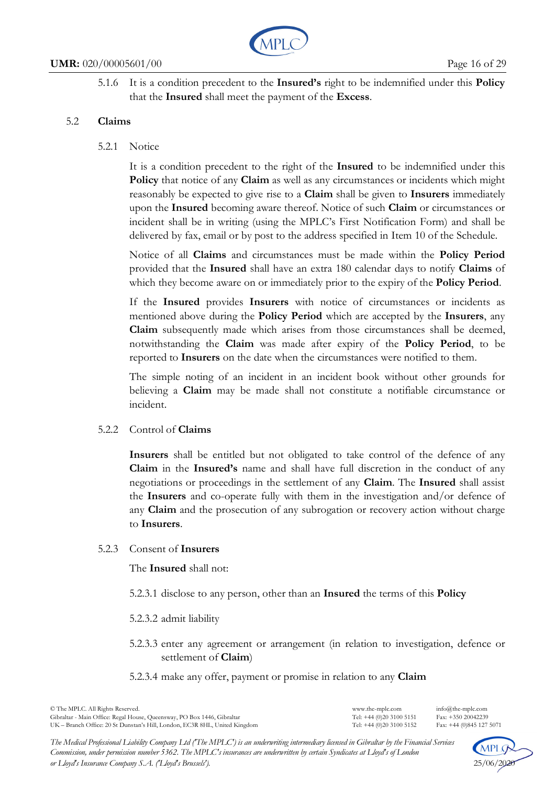

5.1.6 It is a condition precedent to the **Insured's** right to be indemnified under this **Policy** that the **Insured** shall meet the payment of the **Excess**.

# 5.2 **Claims**

## 5.2.1 Notice

It is a condition precedent to the right of the **Insured** to be indemnified under this **Policy** that notice of any **Claim** as well as any circumstances or incidents which might reasonably be expected to give rise to a **Claim** shall be given to **Insurers** immediately upon the **Insured** becoming aware thereof. Notice of such **Claim** or circumstances or incident shall be in writing (using the MPLC's First Notification Form) and shall be delivered by fax, email or by post to the address specified in Item 10 of the Schedule.

Notice of all **Claims** and circumstances must be made within the **Policy Period** provided that the **Insured** shall have an extra 180 calendar days to notify **Claims** of which they become aware on or immediately prior to the expiry of the **Policy Period**.

If the **Insured** provides **Insurers** with notice of circumstances or incidents as mentioned above during the **Policy Period** which are accepted by the **Insurers**, any **Claim** subsequently made which arises from those circumstances shall be deemed, notwithstanding the **Claim** was made after expiry of the **Policy Period**, to be reported to **Insurers** on the date when the circumstances were notified to them.

The simple noting of an incident in an incident book without other grounds for believing a **Claim** may be made shall not constitute a notifiable circumstance or incident.

### 5.2.2 Control of **Claims**

**Insurers** shall be entitled but not obligated to take control of the defence of any **Claim** in the **Insured's** name and shall have full discretion in the conduct of any negotiations or proceedings in the settlement of any **Claim**. The **Insured** shall assist the **Insurers** and co-operate fully with them in the investigation and/or defence of any **Claim** and the prosecution of any subrogation or recovery action without charge to **Insurers**.

# 5.2.3 Consent of **Insurers**

The **Insured** shall not:

5.2.3.1 disclose to any person, other than an **Insured** the terms of this **Policy** 

5.2.3.2 admit liability

5.2.3.3 enter any agreement or arrangement (in relation to investigation, defence or settlement of **Claim**)

### 5.2.3.4 make any offer, payment or promise in relation to any **Claim**

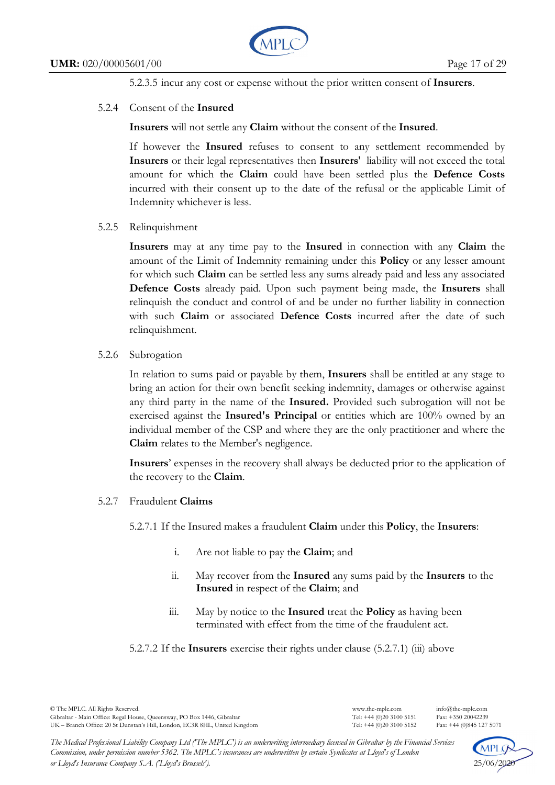

5.2.3.5 incur any cost or expense without the prior written consent of **Insurers**.

## 5.2.4 Consent of the **Insured**

**Insurers** will not settle any **Claim** without the consent of the **Insured**.

If however the **Insured** refuses to consent to any settlement recommended by **Insurers** or their legal representatives then **Insurers**' liability will not exceed the total amount for which the **Claim** could have been settled plus the **Defence Costs**  incurred with their consent up to the date of the refusal or the applicable Limit of Indemnity whichever is less.

5.2.5 Relinquishment

**Insurers** may at any time pay to the **Insured** in connection with any **Claim** the amount of the Limit of Indemnity remaining under this **Policy** or any lesser amount for which such **Claim** can be settled less any sums already paid and less any associated **Defence Costs** already paid. Upon such payment being made, the **Insurers** shall relinquish the conduct and control of and be under no further liability in connection with such **Claim** or associated **Defence Costs** incurred after the date of such relinquishment.

# 5.2.6 Subrogation

In relation to sums paid or payable by them, **Insurers** shall be entitled at any stage to bring an action for their own benefit seeking indemnity, damages or otherwise against any third party in the name of the **Insured.** Provided such subrogation will not be exercised against the **Insured's Principal** or entities which are 100% owned by an individual member of the CSP and where they are the only practitioner and where the **Claim** relates to the Member's negligence.

**Insurers**' expenses in the recovery shall always be deducted prior to the application of the recovery to the **Claim**.

### 5.2.7 Fraudulent **Claims**

5.2.7.1 If the Insured makes a fraudulent **Claim** under this **Policy**, the **Insurers**:

- i. Are not liable to pay the **Claim**; and
- ii. May recover from the **Insured** any sums paid by the **Insurers** to the **Insured** in respect of the **Claim**; and
- iii. May by notice to the **Insured** treat the **Policy** as having been terminated with effect from the time of the fraudulent act.

5.2.7.2 If the **Insurers** exercise their rights under clause (5.2.7.1) (iii) above



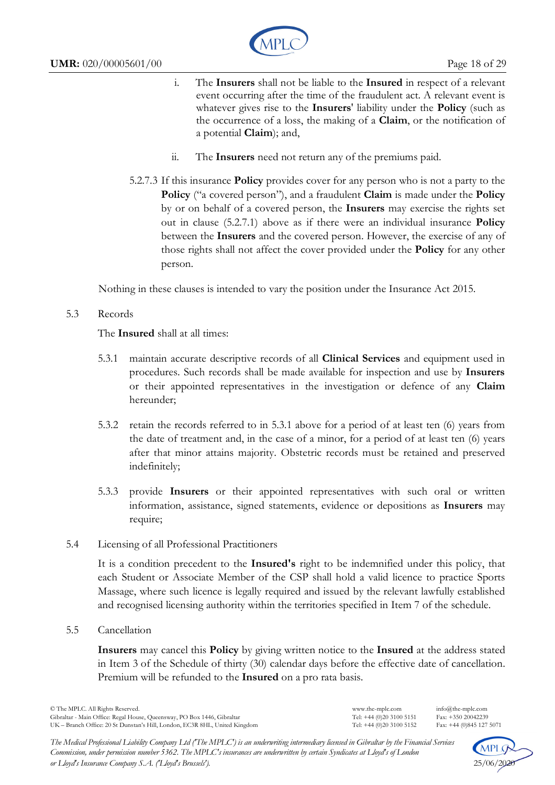

- i. The **Insurers** shall not be liable to the **Insured** in respect of a relevant event occurring after the time of the fraudulent act. A relevant event is whatever gives rise to the **Insurers**' liability under the **Policy** (such as the occurrence of a loss, the making of a **Claim**, or the notification of a potential **Claim**); and,
- ii. The **Insurers** need not return any of the premiums paid.
- 5.2.7.3 If this insurance **Policy** provides cover for any person who is not a party to the **Policy** ("a covered person"), and a fraudulent **Claim** is made under the **Policy** by or on behalf of a covered person, the **Insurers** may exercise the rights set out in clause (5.2.7.1) above as if there were an individual insurance **Policy** between the **Insurers** and the covered person. However, the exercise of any of those rights shall not affect the cover provided under the **Policy** for any other person.

Nothing in these clauses is intended to vary the position under the Insurance Act 2015.

# 5.3 Records

The **Insured** shall at all times:

- 5.3.1 maintain accurate descriptive records of all **Clinical Services** and equipment used in procedures. Such records shall be made available for inspection and use by **Insurers** or their appointed representatives in the investigation or defence of any **Claim** hereunder;
- 5.3.2 retain the records referred to in 5.3.1 above for a period of at least ten (6) years from the date of treatment and, in the case of a minor, for a period of at least ten (6) years after that minor attains majority. Obstetric records must be retained and preserved indefinitely;
- 5.3.3 provide **Insurers** or their appointed representatives with such oral or written information, assistance, signed statements, evidence or depositions as **Insurers** may require;
- 5.4 Licensing of all Professional Practitioners

It is a condition precedent to the **Insured's** right to be indemnified under this policy, that each Student or Associate Member of the CSP shall hold a valid licence to practice Sports Massage, where such licence is legally required and issued by the relevant lawfully established and recognised licensing authority within the territories specified in Item 7 of the schedule.

5.5 Cancellation

**Insurers** may cancel this **Policy** by giving written notice to the **Insured** at the address stated in Item 3 of the Schedule of thirty (30) calendar days before the effective date of cancellation. Premium will be refunded to the **Insured** on a pro rata basis.

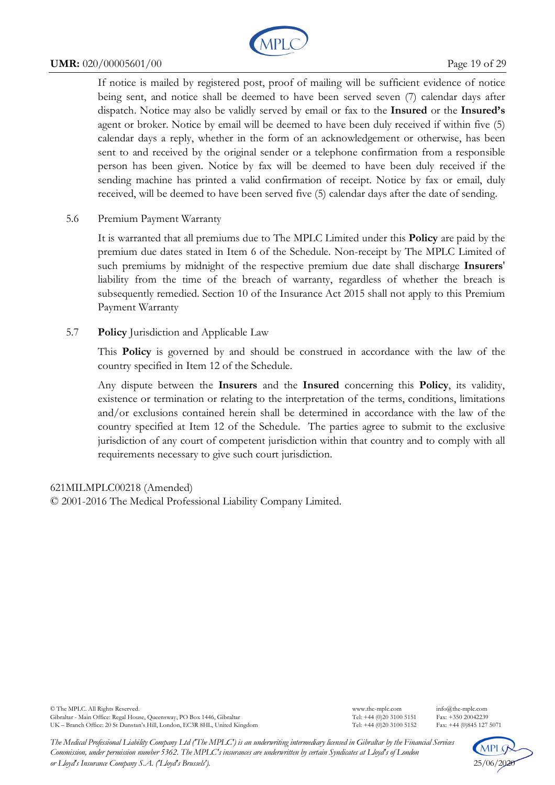

#### **UMR:** 020/00005601/00 Page 19 of 29

If notice is mailed by registered post, proof of mailing will be sufficient evidence of notice being sent, and notice shall be deemed to have been served seven (7) calendar days after dispatch. Notice may also be validly served by email or fax to the **Insured** or the **Insured's** agent or broker. Notice by email will be deemed to have been duly received if within five (5) calendar days a reply, whether in the form of an acknowledgement or otherwise, has been sent to and received by the original sender or a telephone confirmation from a responsible person has been given. Notice by fax will be deemed to have been duly received if the sending machine has printed a valid confirmation of receipt. Notice by fax or email, duly received, will be deemed to have been served five (5) calendar days after the date of sending.

5.6 Premium Payment Warranty

It is warranted that all premiums due to The MPLC Limited under this **Policy** are paid by the premium due dates stated in Item 6 of the Schedule. Non-receipt by The MPLC Limited of such premiums by midnight of the respective premium due date shall discharge **Insurers**' liability from the time of the breach of warranty, regardless of whether the breach is subsequently remedied. Section 10 of the Insurance Act 2015 shall not apply to this Premium Payment Warranty

5.7 **Policy** Jurisdiction and Applicable Law

This **Policy** is governed by and should be construed in accordance with the law of the country specified in Item 12 of the Schedule.

Any dispute between the **Insurers** and the **Insured** concerning this **Policy**, its validity, existence or termination or relating to the interpretation of the terms, conditions, limitations and/or exclusions contained herein shall be determined in accordance with the law of the country specified at Item 12 of the Schedule. The parties agree to submit to the exclusive jurisdiction of any court of competent jurisdiction within that country and to comply with all requirements necessary to give such court jurisdiction.

### 621MILMPLC00218 (Amended)

© 2001-2016 The Medical Professional Liability Company Limited.

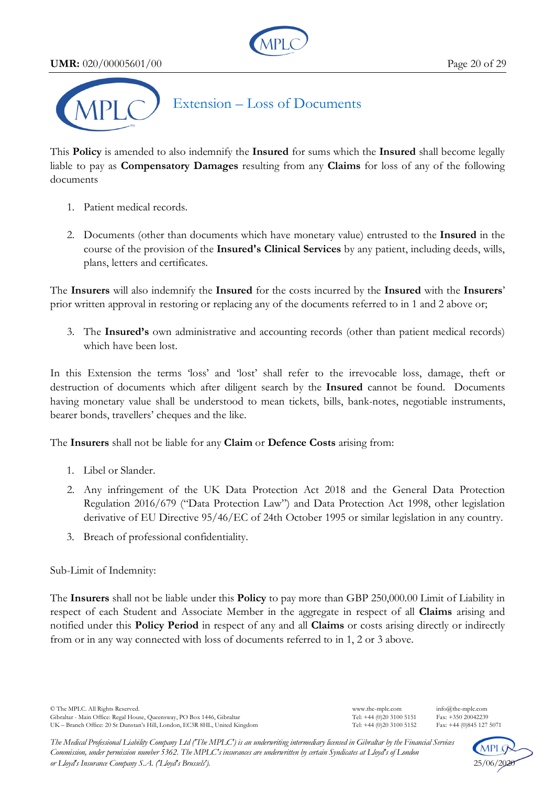**UMR:** 020/00005601/00 Page 20 of 29





# Extension – Loss of Documents

This **Policy** is amended to also indemnify the **Insured** for sums which the **Insured** shall become legally liable to pay as **Compensatory Damages** resulting from any **Claims** for loss of any of the following documents

- 1. Patient medical records.
- 2. Documents (other than documents which have monetary value) entrusted to the **Insured** in the course of the provision of the **Insured's Clinical Services** by any patient, including deeds, wills, plans, letters and certificates.

The **Insurers** will also indemnify the **Insured** for the costs incurred by the **Insured** with the **Insurers**' prior written approval in restoring or replacing any of the documents referred to in 1 and 2 above or;

3. The **Insured's** own administrative and accounting records (other than patient medical records) which have been lost.

In this Extension the terms 'loss' and 'lost' shall refer to the irrevocable loss, damage, theft or destruction of documents which after diligent search by the **Insured** cannot be found. Documents having monetary value shall be understood to mean tickets, bills, bank-notes, negotiable instruments, bearer bonds, travellers' cheques and the like.

The **Insurers** shall not be liable for any **Claim** or **Defence Costs** arising from:

- 1. Libel or Slander.
- 2. Any infringement of the UK Data Protection Act 2018 and the General Data Protection Regulation 2016/679 ("Data Protection Law") and Data Protection Act 1998, other legislation derivative of EU Directive 95/46/EC of 24th October 1995 or similar legislation in any country.
- 3. Breach of professional confidentiality.

Sub-Limit of Indemnity:

The **Insurers** shall not be liable under this **Policy** to pay more than GBP 250,000.00 Limit of Liability in respect of each Student and Associate Member in the aggregate in respect of all **Claims** arising and notified under this **Policy Period** in respect of any and all **Claims** or costs arising directly or indirectly from or in any way connected with loss of documents referred to in 1, 2 or 3 above.



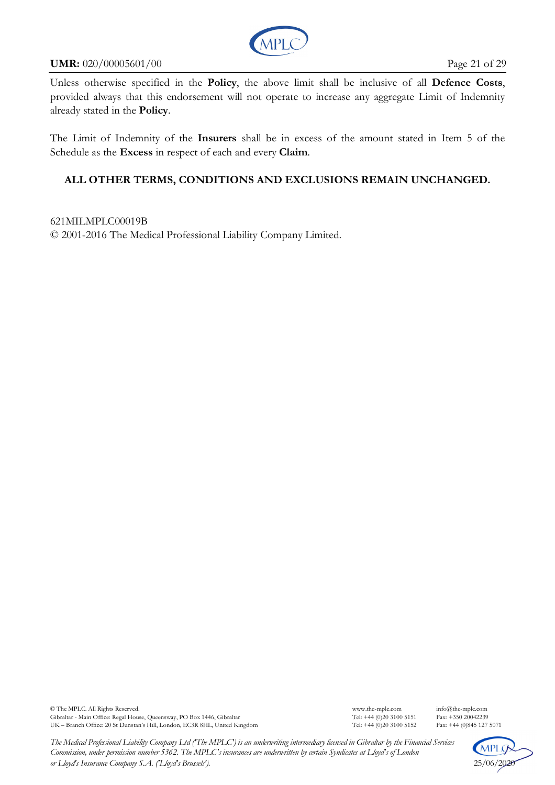

#### **UMR:** 020/00005601/00 Page 21 of 29

Unless otherwise specified in the **Policy**, the above limit shall be inclusive of all **Defence Costs**, provided always that this endorsement will not operate to increase any aggregate Limit of Indemnity already stated in the **Policy**.

The Limit of Indemnity of the **Insurers** shall be in excess of the amount stated in Item 5 of the Schedule as the **Excess** in respect of each and every **Claim**.

# **ALL OTHER TERMS, CONDITIONS AND EXCLUSIONS REMAIN UNCHANGED.**

621MILMPLC00019B © 2001-2016 The Medical Professional Liability Company Limited.

© The MPLC. All Rights Reserved. www.the-mplc.com info@the-mplc.com Gibraltar - Main Office: Regal House, Queensway, PO Box 1446, Gibraltar Tel: +44 (0)20 3100 5151 Fax: +350 20042239<br>UK – Branch Office: 20 St Dunstan's Hill, London, EC3R 8HL, United Kingdom Tel: +44 (0)20 3100 5152 Fax: + UK – Branch Office: 20 St Dunstan's Hill, London, EC3R 8HL, United Kingdom

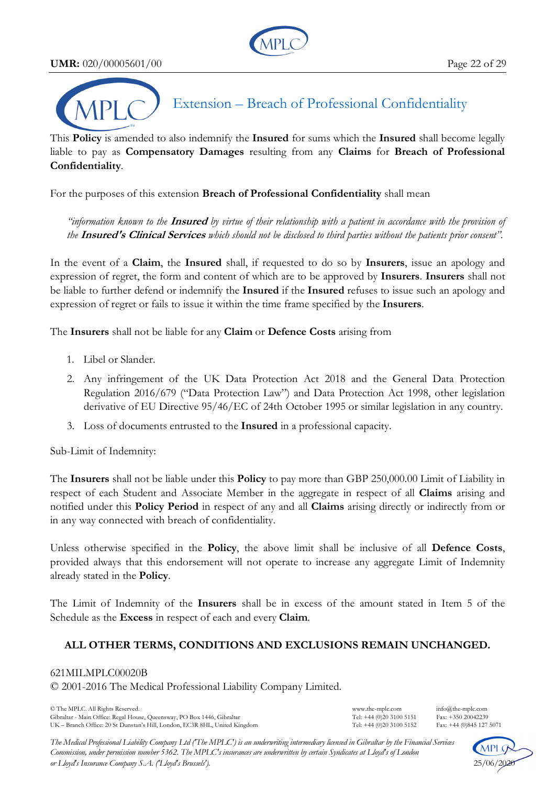**UMR:** 020/00005601/00 Page 22 of 29





Extension – Breach of Professional Confidentiality

This **Policy** is amended to also indemnify the **Insured** for sums which the **Insured** shall become legally liable to pay as **Compensatory Damages** resulting from any **Claims** for **Breach of Professional Confidentiality**.

For the purposes of this extension **Breach of Professional Confidentiality** shall mean

*"information known to the* **Insured** *by virtue of their relationship with a patient in accordance with the provision of the* **Insured's Clinical Services** *which should not be disclosed to third parties without the patients prior consent".* 

In the event of a **Claim**, the **Insured** shall, if requested to do so by **Insurers**, issue an apology and expression of regret, the form and content of which are to be approved by **Insurers**. **Insurers** shall not be liable to further defend or indemnify the **Insured** if the **Insured** refuses to issue such an apology and expression of regret or fails to issue it within the time frame specified by the **Insurers**.

The **Insurers** shall not be liable for any **Claim** or **Defence Costs** arising from

- 1. Libel or Slander.
- 2. Any infringement of the UK Data Protection Act 2018 and the General Data Protection Regulation 2016/679 ("Data Protection Law") and Data Protection Act 1998, other legislation derivative of EU Directive 95/46/EC of 24th October 1995 or similar legislation in any country.
- 3. Loss of documents entrusted to the **Insured** in a professional capacity.

Sub-Limit of Indemnity:

The **Insurers** shall not be liable under this **Policy** to pay more than GBP 250,000.00 Limit of Liability in respect of each Student and Associate Member in the aggregate in respect of all **Claims** arising and notified under this **Policy Period** in respect of any and all **Claims** arising directly or indirectly from or in any way connected with breach of confidentiality.

Unless otherwise specified in the **Policy**, the above limit shall be inclusive of all **Defence Costs**, provided always that this endorsement will not operate to increase any aggregate Limit of Indemnity already stated in the **Policy**.

The Limit of Indemnity of the **Insurers** shall be in excess of the amount stated in Item 5 of the Schedule as the **Excess** in respect of each and every **Claim**.

# **ALL OTHER TERMS, CONDITIONS AND EXCLUSIONS REMAIN UNCHANGED.**

# 621MILMPLC00020B

© 2001-2016 The Medical Professional Liability Company Limited.

© The MPLC. All Rights Reserved. www.the-mplc.com info@the-mplc.com Gibraltar - Main Office: Regal House, Queensway, PO Box 1446, Gibraltar Tel: +44 (0)20 3100 5151 Fax: +350 20042239<br>UK – Branch Office: 20 St Dunstan's Hill, London, EC3R 8HL, United Kingdom Tel: +44 (0)20 3100 5152 Fax: + UK – Branch Office: 20 St Dunstan's Hill, London, EC3R 8HL, United Kingdom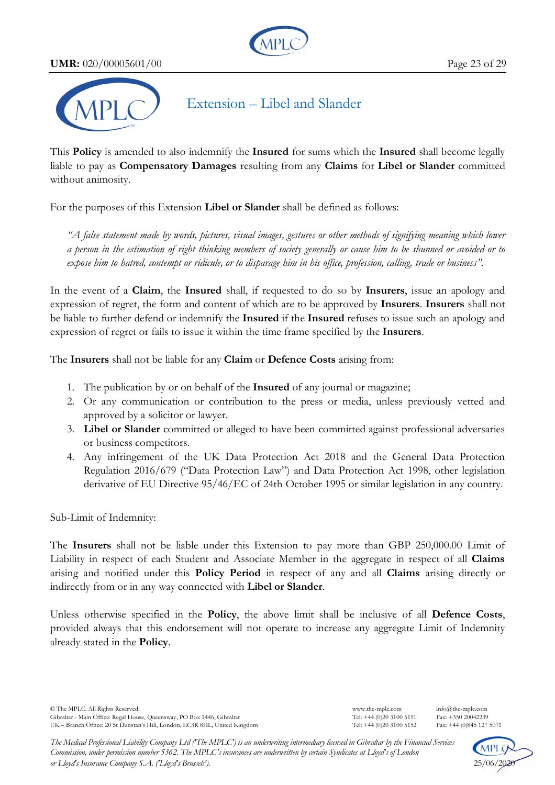**UMR:** 020/00005601/00 Page 23 of 29





# Extension – Libel and Slander

This **Policy** is amended to also indemnify the **Insured** for sums which the **Insured** shall become legally liable to pay as **Compensatory Damages** resulting from any **Claims** for **Libel or Slander** committed without animosity.

For the purposes of this Extension **Libel or Slander** shall be defined as follows:

*"A false statement made by words, pictures, visual images, gestures or other methods of signifying meaning which lower a person in the estimation of right thinking members of society generally or cause him to be shunned or avoided or to expose him to hatred, contempt or ridicule, or to disparage him in his office, profession, calling, trade or business".* 

In the event of a **Claim**, the **Insured** shall, if requested to do so by **Insurers**, issue an apology and expression of regret, the form and content of which are to be approved by **Insurers**. **Insurers** shall not be liable to further defend or indemnify the **Insured** if the **Insured** refuses to issue such an apology and expression of regret or fails to issue it within the time frame specified by the **Insurers**.

The **Insurers** shall not be liable for any **Claim** or **Defence Costs** arising from:

- 1. The publication by or on behalf of the **Insured** of any journal or magazine;
- 2. Or any communication or contribution to the press or media, unless previously vetted and approved by a solicitor or lawyer.
- 3. **Libel or Slander** committed or alleged to have been committed against professional adversaries or business competitors.
- 4. Any infringement of the UK Data Protection Act 2018 and the General Data Protection Regulation 2016/679 ("Data Protection Law") and Data Protection Act 1998, other legislation derivative of EU Directive 95/46/EC of 24th October 1995 or similar legislation in any country.

Sub-Limit of Indemnity:

The **Insurers** shall not be liable under this Extension to pay more than GBP 250,000.00 Limit of Liability in respect of each Student and Associate Member in the aggregate in respect of all **Claims** arising and notified under this **Policy Period** in respect of any and all **Claims** arising directly or indirectly from or in any way connected with **Libel or Slander**.

Unless otherwise specified in the **Policy**, the above limit shall be inclusive of all **Defence Costs**, provided always that this endorsement will not operate to increase any aggregate Limit of Indemnity already stated in the **Policy**.

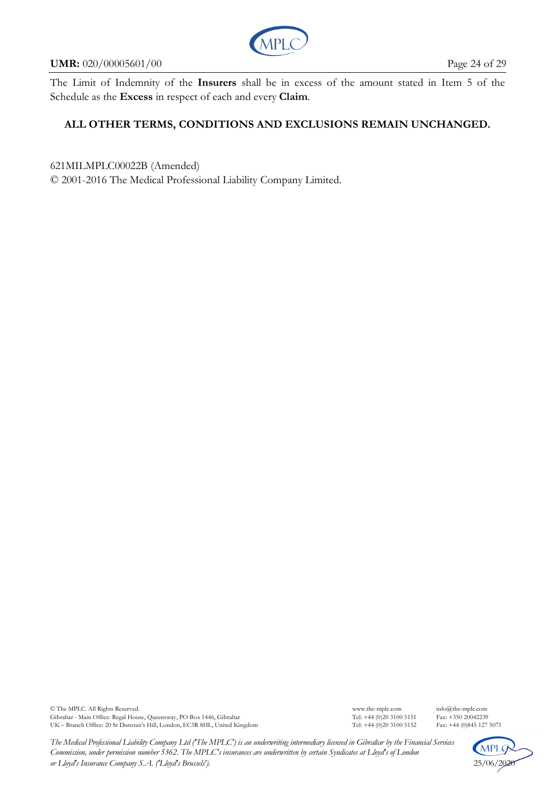

#### **UMR:** 020/00005601/00 Page 24 of 29

The Limit of Indemnity of the **Insurers** shall be in excess of the amount stated in Item 5 of the Schedule as the **Excess** in respect of each and every **Claim**.

# **ALL OTHER TERMS, CONDITIONS AND EXCLUSIONS REMAIN UNCHANGED.**

621MILMPLC00022B (Amended)

© 2001-2016 The Medical Professional Liability Company Limited.

© The MPLC. All Rights Reserved. www.the-mplc.com info@the-mplc.com Gibraltar - Main Office: Regal House, Queensway, PO Box 1446, Gibraltar Tel: +44 (0)20 3100 5151 Fax: +350 20042239<br>UK – Branch Office: 20 St Dunstan's Hill, London, EC3R 8HL, United Kingdom Tel: +44 (0)20 3100 5152 Fax: + UK – Branch Office: 20 St Dunstan's Hill, London, EC3R 8HL, United Kingdom

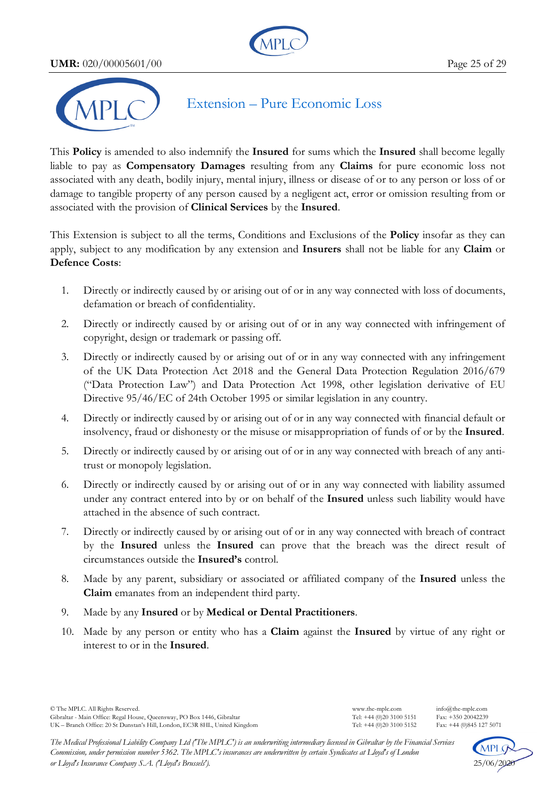**UMR:** 020/00005601/00 Page 25 of 29





# Extension – Pure Economic Loss

This **Policy** is amended to also indemnify the **Insured** for sums which the **Insured** shall become legally liable to pay as **Compensatory Damages** resulting from any **Claims** for pure economic loss not associated with any death, bodily injury, mental injury, illness or disease of or to any person or loss of or damage to tangible property of any person caused by a negligent act, error or omission resulting from or associated with the provision of **Clinical Services** by the **Insured**.

This Extension is subject to all the terms, Conditions and Exclusions of the **Policy** insofar as they can apply, subject to any modification by any extension and **Insurers** shall not be liable for any **Claim** or **Defence Costs**:

- 1. Directly or indirectly caused by or arising out of or in any way connected with loss of documents, defamation or breach of confidentiality.
- 2. Directly or indirectly caused by or arising out of or in any way connected with infringement of copyright, design or trademark or passing off.
- 3. Directly or indirectly caused by or arising out of or in any way connected with any infringement of the UK Data Protection Act 2018 and the General Data Protection Regulation 2016/679 ("Data Protection Law") and Data Protection Act 1998, other legislation derivative of EU Directive 95/46/EC of 24th October 1995 or similar legislation in any country.
- 4. Directly or indirectly caused by or arising out of or in any way connected with financial default or insolvency, fraud or dishonesty or the misuse or misappropriation of funds of or by the **Insured**.
- 5. Directly or indirectly caused by or arising out of or in any way connected with breach of any antitrust or monopoly legislation.
- 6. Directly or indirectly caused by or arising out of or in any way connected with liability assumed under any contract entered into by or on behalf of the **Insured** unless such liability would have attached in the absence of such contract.
- 7. Directly or indirectly caused by or arising out of or in any way connected with breach of contract by the **Insured** unless the **Insured** can prove that the breach was the direct result of circumstances outside the **Insured's** control.
- 8. Made by any parent, subsidiary or associated or affiliated company of the **Insured** unless the **Claim** emanates from an independent third party.
- 9. Made by any **Insured** or by **Medical or Dental Practitioners**.
- 10. Made by any person or entity who has a **Claim** against the **Insured** by virtue of any right or interest to or in the **Insured**.

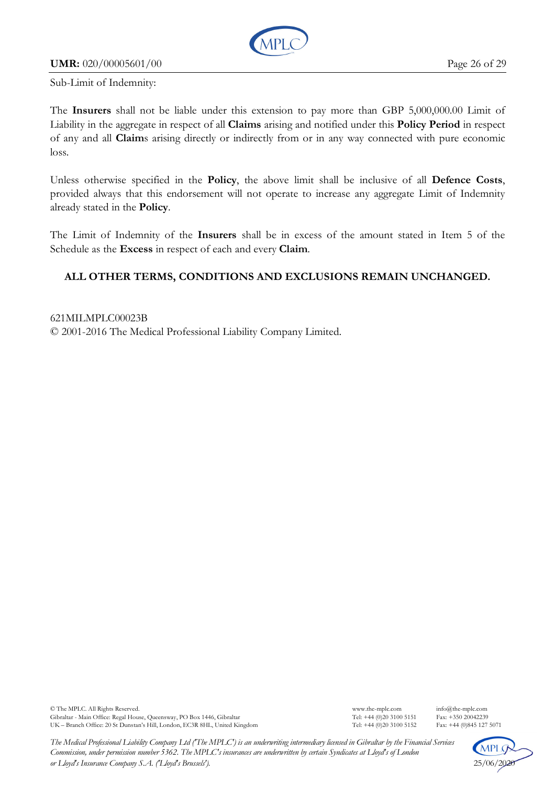

## **UMR:** 020/00005601/00 Page 26 of 29

Sub-Limit of Indemnity:

The **Insurers** shall not be liable under this extension to pay more than GBP 5,000,000.00 Limit of Liability in the aggregate in respect of all **Claims** arising and notified under this **Policy Period** in respect of any and all **Claim**s arising directly or indirectly from or in any way connected with pure economic loss.

Unless otherwise specified in the **Policy**, the above limit shall be inclusive of all **Defence Costs**, provided always that this endorsement will not operate to increase any aggregate Limit of Indemnity already stated in the **Policy**.

The Limit of Indemnity of the **Insurers** shall be in excess of the amount stated in Item 5 of the Schedule as the **Excess** in respect of each and every **Claim**.

# **ALL OTHER TERMS, CONDITIONS AND EXCLUSIONS REMAIN UNCHANGED.**

621MILMPLC00023B © 2001-2016 The Medical Professional Liability Company Limited.

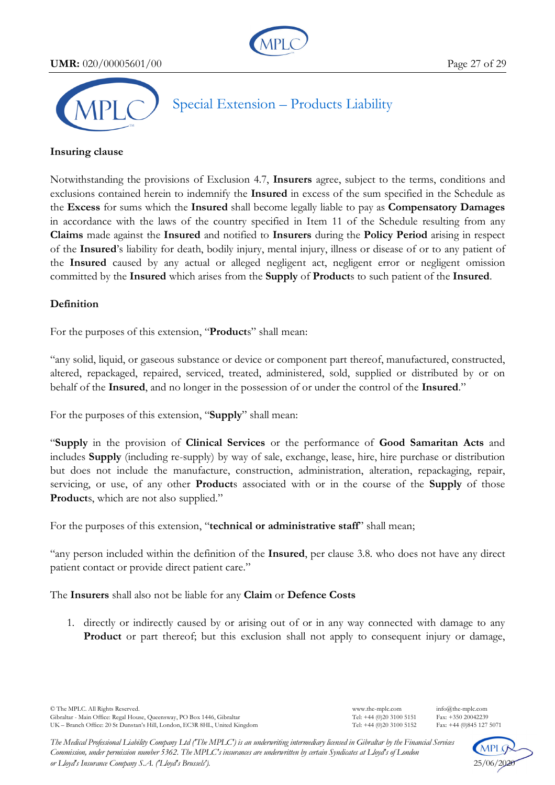**UMR:** 020/00005601/00 Page 27 of 29





Special Extension – Products Liability

#### **Insuring clause**

Notwithstanding the provisions of Exclusion 4.7, **Insurers** agree, subject to the terms, conditions and exclusions contained herein to indemnify the **Insured** in excess of the sum specified in the Schedule as the **Excess** for sums which the **Insured** shall become legally liable to pay as **Compensatory Damages** in accordance with the laws of the country specified in Item 11 of the Schedule resulting from any **Claims** made against the **Insured** and notified to **Insurers** during the **Policy Period** arising in respect of the **Insured**'s liability for death, bodily injury, mental injury, illness or disease of or to any patient of the **Insured** caused by any actual or alleged negligent act, negligent error or negligent omission committed by the **Insured** which arises from the **Supply** of **Product**s to such patient of the **Insured**.

### **Definition**

For the purposes of this extension, "**Product**s" shall mean:

"any solid, liquid, or gaseous substance or device or component part thereof, manufactured, constructed, altered, repackaged, repaired, serviced, treated, administered, sold, supplied or distributed by or on behalf of the **Insured**, and no longer in the possession of or under the control of the **Insured**."

For the purposes of this extension, "**Supply**" shall mean:

"**Supply** in the provision of **Clinical Services** or the performance of **Good Samaritan Acts** and includes **Supply** (including re-supply) by way of sale, exchange, lease, hire, hire purchase or distribution but does not include the manufacture, construction, administration, alteration, repackaging, repair, servicing, or use, of any other **Product**s associated with or in the course of the **Supply** of those **Products**, which are not also supplied."

For the purposes of this extension, "**technical or administrative staff**" shall mean;

"any person included within the definition of the **Insured**, per clause 3.8. who does not have any direct patient contact or provide direct patient care."

The **Insurers** shall also not be liable for any **Claim** or **Defence Costs**

1. directly or indirectly caused by or arising out of or in any way connected with damage to any Product or part thereof; but this exclusion shall not apply to consequent injury or damage,



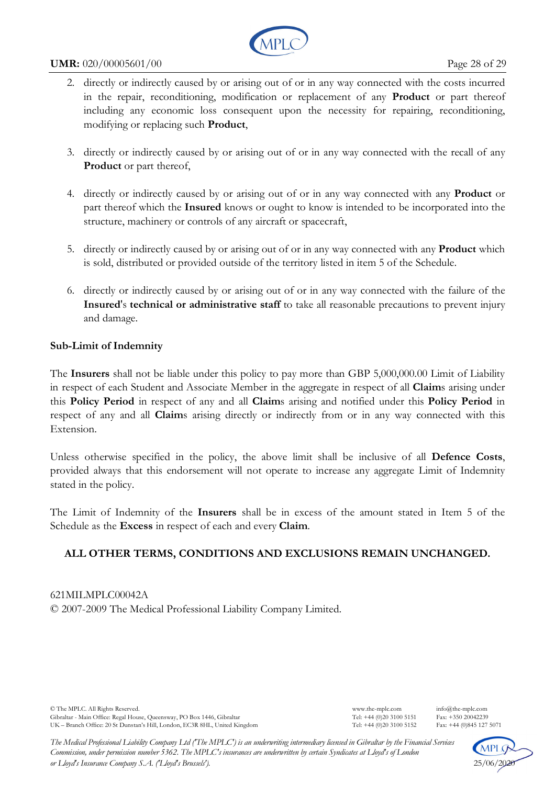

#### **UMR:**  $020/00005601/00$  Page 28 of 29

- 2. directly or indirectly caused by or arising out of or in any way connected with the costs incurred in the repair, reconditioning, modification or replacement of any **Product** or part thereof including any economic loss consequent upon the necessity for repairing, reconditioning, modifying or replacing such **Product**,
- 3. directly or indirectly caused by or arising out of or in any way connected with the recall of any **Product** or part thereof,
- 4. directly or indirectly caused by or arising out of or in any way connected with any **Product** or part thereof which the **Insured** knows or ought to know is intended to be incorporated into the structure, machinery or controls of any aircraft or spacecraft,
- 5. directly or indirectly caused by or arising out of or in any way connected with any **Product** which is sold, distributed or provided outside of the territory listed in item 5 of the Schedule.
- 6. directly or indirectly caused by or arising out of or in any way connected with the failure of the **Insured**'s **technical or administrative staff** to take all reasonable precautions to prevent injury and damage.

### **Sub-Limit of Indemnity**

The **Insurers** shall not be liable under this policy to pay more than GBP 5,000,000.00 Limit of Liability in respect of each Student and Associate Member in the aggregate in respect of all **Claim**s arising under this **Policy Period** in respect of any and all **Claim**s arising and notified under this **Policy Period** in respect of any and all **Claim**s arising directly or indirectly from or in any way connected with this Extension.

Unless otherwise specified in the policy, the above limit shall be inclusive of all **Defence Costs**, provided always that this endorsement will not operate to increase any aggregate Limit of Indemnity stated in the policy.

The Limit of Indemnity of the **Insurers** shall be in excess of the amount stated in Item 5 of the Schedule as the **Excess** in respect of each and every **Claim**.

# **ALL OTHER TERMS, CONDITIONS AND EXCLUSIONS REMAIN UNCHANGED.**

621MILMPLC00042A © 2007-2009 The Medical Professional Liability Company Limited.

© The MPLC. All Rights Reserved. www.the-mplc.com info@the-mplc.com Gibraltar - Main Office: Regal House, Queensway, PO Box 1446, Gibraltar Tel: +44 (0)20 3100 5151 Fax: +350 20042239<br>UK – Branch Office: 20 St Dunstan's Hill, London, EC3R 8HL, United Kingdom Tel: +44 (0)20 3100 5152 Fax: + UK – Branch Office: 20 St Dunstan's Hill, London, EC3R 8HL, United Kingdom

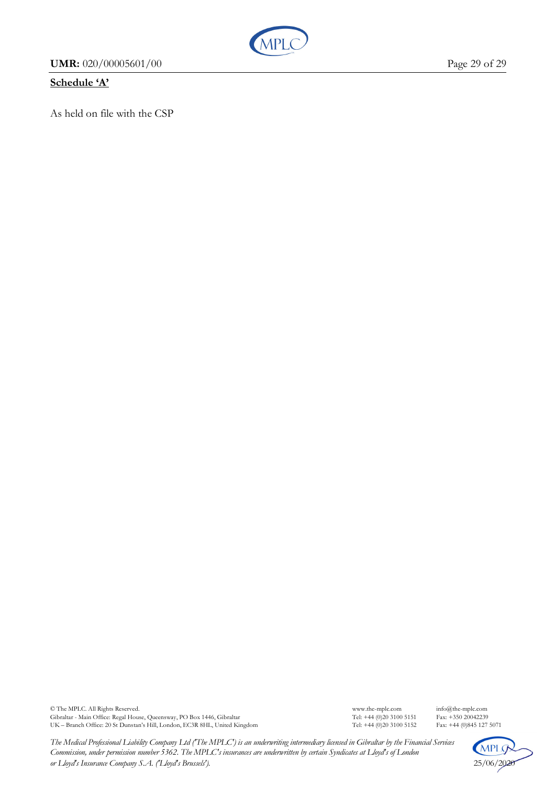**UMR:** 020/00005601/00 Page 29 of 29

# **Schedule 'A'**

As held on file with the CSP

**MPI** 



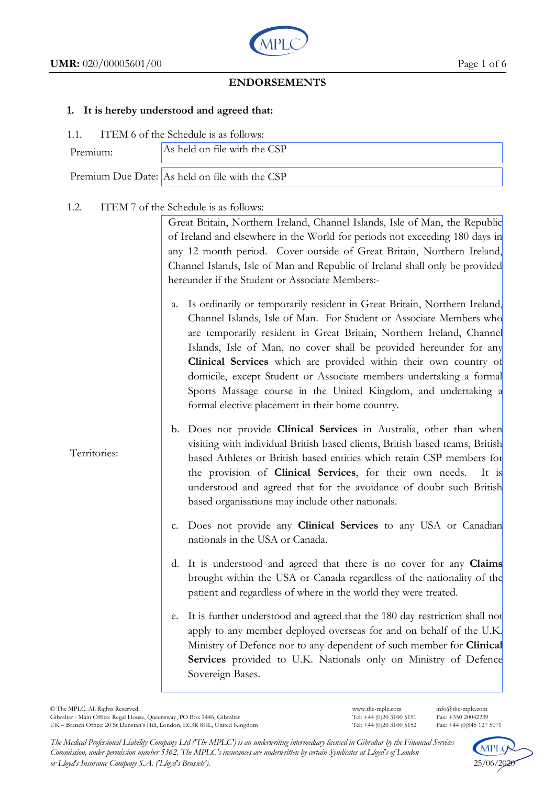Territories:



# **ENDORSEMENTS**

#### **1. It is hereby understood and agreed that:**

1.1. ITEM 6 of the Schedule is as follows:

| .        |                                                |  |  |  |
|----------|------------------------------------------------|--|--|--|
| Premium: | As held on file with the CSP                   |  |  |  |
|          | Premium Due Date: As held on file with the CSP |  |  |  |

### 1.2. ITEM 7 of the Schedule is as follows:

Great Britain, Northern Ireland, Channel Islands, Isle of Man, the Republic of Ireland and elsewhere in the World for periods not exceeding 180 days in any 12 month period. Cover outside of Great Britain, Northern Ireland, Channel Islands, Isle of Man and Republic of Ireland shall only be provided hereunder if the Student or Associate Members:-

- a. Is ordinarily or temporarily resident in Great Britain, Northern Ireland, Channel Islands, Isle of Man. For Student or Associate Members who are temporarily resident in Great Britain, Northern Ireland, Channel Islands, Isle of Man, no cover shall be provided hereunder for any **Clinical Services** which are provided within their own country of domicile, except Student or Associate members undertaking a formal Sports Massage course in the United Kingdom, and undertaking a formal elective placement in their home country.
- b. Does not provide **Clinical Services** in Australia, other than when visiting with individual British based clients, British based teams, British based Athletes or British based entities which retain CSP members for the provision of **Clinical Services**, for their own needs. It is understood and agreed that for the avoidance of doubt such British based organisations may include other nationals.
- c. Does not provide any **Clinical Services** to any USA or Canadian nationals in the USA or Canada.
- d. It is understood and agreed that there is no cover for any **Claims** brought within the USA or Canada regardless of the nationality of the patient and regardless of where in the world they were treated.
- e. It is further understood and agreed that the 180 day restriction shall not apply to any member deployed overseas for and on behalf of the U.K. Ministry of Defence nor to any dependent of such member for **Clinical Services** provided to U.K. Nationals only on Ministry of Defence Sovereign Bases.

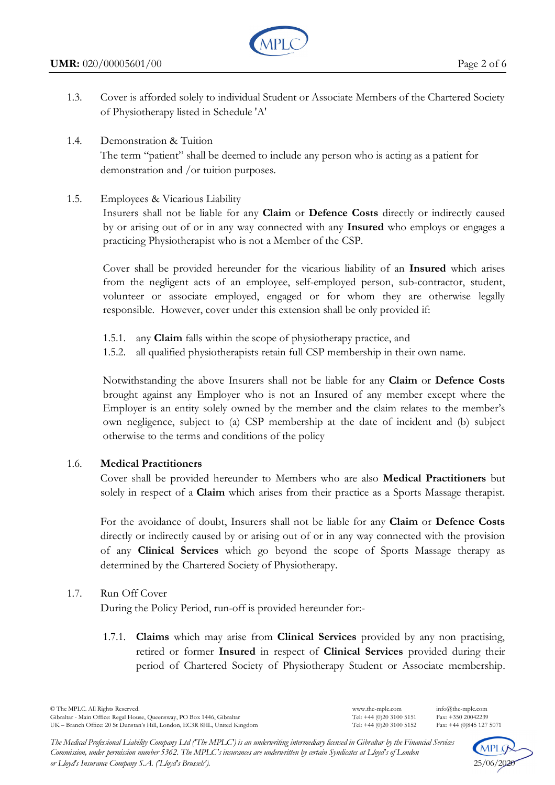

- 1.3. Cover is afforded solely to individual Student or Associate Members of the Chartered Society of Physiotherapy listed in Schedule 'A'
- 1.4. Demonstration & Tuition

The term "patient" shall be deemed to include any person who is acting as a patient for demonstration and /or tuition purposes.

1.5. Employees & Vicarious Liability

 Insurers shall not be liable for any **Claim** or **Defence Costs** directly or indirectly caused by or arising out of or in any way connected with any **Insured** who employs or engages a practicing Physiotherapist who is not a Member of the CSP.

 Cover shall be provided hereunder for the vicarious liability of an **Insured** which arises from the negligent acts of an employee, self-employed person, sub-contractor, student, volunteer or associate employed, engaged or for whom they are otherwise legally responsible. However, cover under this extension shall be only provided if:

- 1.5.1. any **Claim** falls within the scope of physiotherapy practice, and
- 1.5.2. all qualified physiotherapists retain full CSP membership in their own name.

 Notwithstanding the above Insurers shall not be liable for any **Claim** or **Defence Costs** brought against any Employer who is not an Insured of any member except where the Employer is an entity solely owned by the member and the claim relates to the member's own negligence, subject to (a) CSP membership at the date of incident and (b) subject otherwise to the terms and conditions of the policy

# 1.6. **Medical Practitioners**

Cover shall be provided hereunder to Members who are also **Medical Practitioners** but solely in respect of a **Claim** which arises from their practice as a Sports Massage therapist.

For the avoidance of doubt, Insurers shall not be liable for any **Claim** or **Defence Costs**  directly or indirectly caused by or arising out of or in any way connected with the provision of any **Clinical Services** which go beyond the scope of Sports Massage therapy as determined by the Chartered Society of Physiotherapy.

# 1.7. Run Off Cover

During the Policy Period, run-off is provided hereunder for:-

1.7.1. **Claims** which may arise from **Clinical Services** provided by any non practising, retired or former **Insured** in respect of **Clinical Services** provided during their period of Chartered Society of Physiotherapy Student or Associate membership.

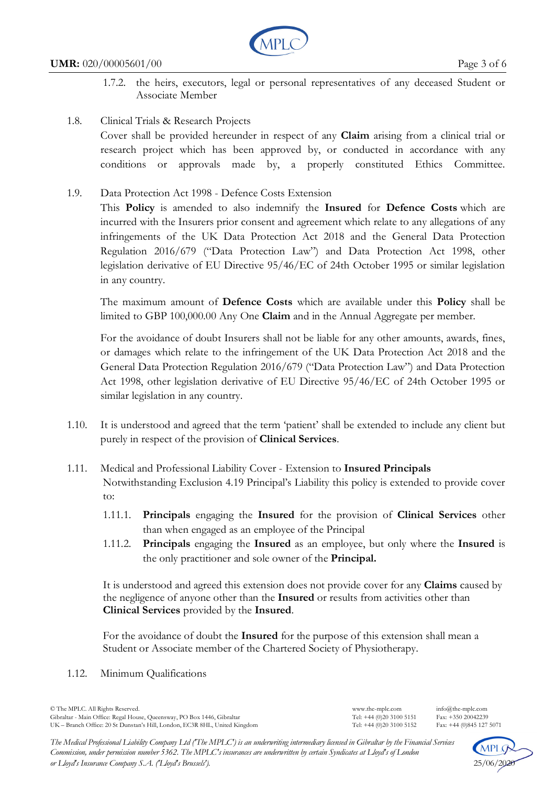

- 1.7.2. the heirs, executors, legal or personal representatives of any deceased Student or Associate Member
- 1.8. Clinical Trials & Research Projects

Cover shall be provided hereunder in respect of any **Claim** arising from a clinical trial or research project which has been approved by, or conducted in accordance with any conditions or approvals made by, a properly constituted Ethics Committee.

1.9. Data Protection Act 1998 - Defence Costs Extension

This **Policy** is amended to also indemnify the **Insured** for **Defence Costs** which are incurred with the Insurers prior consent and agreement which relate to any allegations of any infringements of the UK Data Protection Act 2018 and the General Data Protection Regulation 2016/679 ("Data Protection Law") and Data Protection Act 1998, other legislation derivative of EU Directive 95/46/EC of 24th October 1995 or similar legislation in any country.

The maximum amount of **Defence Costs** which are available under this **Policy** shall be limited to GBP 100,000.00 Any One **Claim** and in the Annual Aggregate per member.

For the avoidance of doubt Insurers shall not be liable for any other amounts, awards, fines, or damages which relate to the infringement of the UK Data Protection Act 2018 and the General Data Protection Regulation 2016/679 ("Data Protection Law") and Data Protection Act 1998, other legislation derivative of EU Directive 95/46/EC of 24th October 1995 or similar legislation in any country.

- 1.10. It is understood and agreed that the term 'patient' shall be extended to include any client but purely in respect of the provision of **Clinical Services**.
- 1.11. Medical and Professional Liability Cover Extension to **Insured Principals** Notwithstanding Exclusion 4.19 Principal's Liability this policy is extended to provide cover to:
	- 1.11.1. **Principals** engaging the **Insured** for the provision of **Clinical Services** other than when engaged as an employee of the Principal
	- 1.11.2. **Principals** engaging the **Insured** as an employee, but only where the **Insured** is the only practitioner and sole owner of the **Principal.**

 It is understood and agreed this extension does not provide cover for any **Claims** caused by the negligence of anyone other than the **Insured** or results from activities other than **Clinical Services** provided by the **Insured**.

 For the avoidance of doubt the **Insured** for the purpose of this extension shall mean a Student or Associate member of the Chartered Society of Physiotherapy.

1.12. Minimum Qualifications

© The MPLC. All Rights Reserved. www.the-mplc.com info@the-mplc.com Gibraltar - Main Office: Regal House, Queensway, PO Box 1446, Gibraltar Tel: +44 (0)20 3100 5151 Fax: +350 20042239<br>UK – Branch Office: 20 St Dunstan's Hill, London, EC3R 8HL, United Kingdom Tel: +44 (0)20 3100 5152 Fax: + UK – Branch Office: 20 St Dunstan's Hill, London, EC3R 8HL, United Kingdom

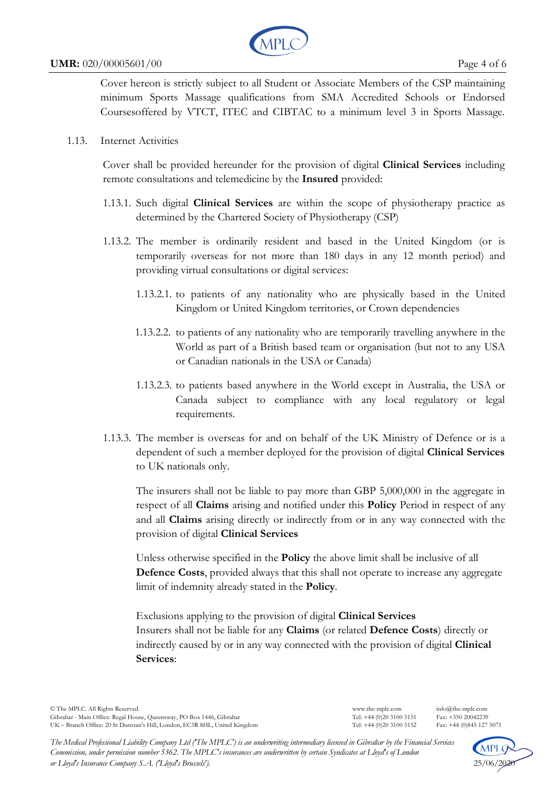

#### **UMR:** 020/00005601/00 Page 4 of 6

Cover hereon is strictly subject to all Student or Associate Members of the CSP maintaining minimum Sports Massage qualifications from SMA Accredited Schools or Endorsed Coursesoffered by VTCT, ITEC and CIBTAC to a minimum level 3 in Sports Massage.

1.13. Internet Activities

Cover shall be provided hereunder for the provision of digital **Clinical Services** including remote consultations and telemedicine by the **Insured** provided:

- 1.13.1. Such digital **Clinical Services** are within the scope of physiotherapy practice as determined by the Chartered Society of Physiotherapy (CSP)
- 1.13.2. The member is ordinarily resident and based in the United Kingdom (or is temporarily overseas for not more than 180 days in any 12 month period) and providing virtual consultations or digital services:
	- 1.13.2.1. to patients of any nationality who are physically based in the United Kingdom or United Kingdom territories, or Crown dependencies
	- 1.13.2.2. to patients of any nationality who are temporarily travelling anywhere in the World as part of a British based team or organisation (but not to any USA or Canadian nationals in the USA or Canada)
	- 1.13.2.3. to patients based anywhere in the World except in Australia, the USA or Canada subject to compliance with any local regulatory or legal requirements.
- 1.13.3. The member is overseas for and on behalf of the UK Ministry of Defence or is a dependent of such a member deployed for the provision of digital **Clinical Services** to UK nationals only.

The insurers shall not be liable to pay more than GBP 5,000,000 in the aggregate in respect of all **Claims** arising and notified under this **Policy** Period in respect of any and all **Claims** arising directly or indirectly from or in any way connected with the provision of digital **Clinical Services**

Unless otherwise specified in the **Policy** the above limit shall be inclusive of all **Defence Costs**, provided always that this shall not operate to increase any aggregate limit of indemnity already stated in the **Policy**.

Exclusions applying to the provision of digital **Clinical Services** Insurers shall not be liable for any **Claims** (or related **Defence Costs**) directly or indirectly caused by or in any way connected with the provision of digital **Clinical Services**:



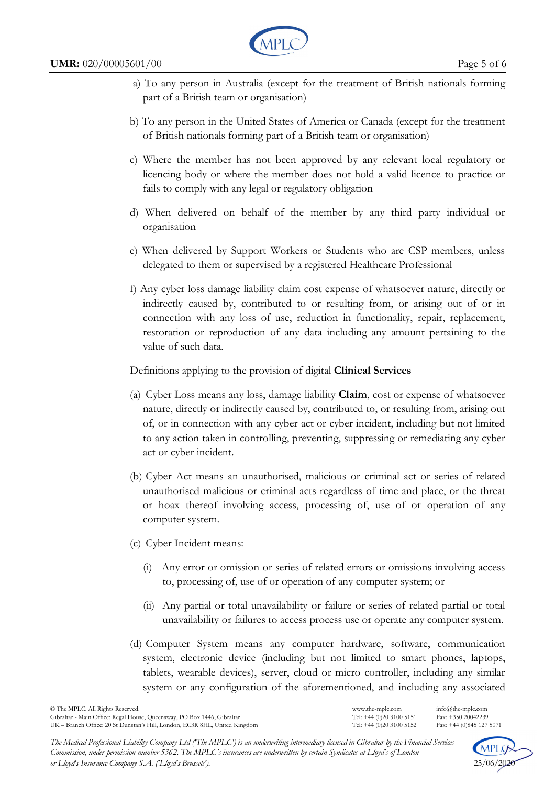

- a) To any person in Australia (except for the treatment of British nationals forming part of a British team or organisation)
- b) To any person in the United States of America or Canada (except for the treatment of British nationals forming part of a British team or organisation)
- c) Where the member has not been approved by any relevant local regulatory or licencing body or where the member does not hold a valid licence to practice or fails to comply with any legal or regulatory obligation
- d) When delivered on behalf of the member by any third party individual or organisation
- e) When delivered by Support Workers or Students who are CSP members, unless delegated to them or supervised by a registered Healthcare Professional
- f) Any cyber loss damage liability claim cost expense of whatsoever nature, directly or indirectly caused by, contributed to or resulting from, or arising out of or in connection with any loss of use, reduction in functionality, repair, replacement, restoration or reproduction of any data including any amount pertaining to the value of such data.

# Definitions applying to the provision of digital **Clinical Services**

- (a) Cyber Loss means any loss, damage liability **Claim**, cost or expense of whatsoever nature, directly or indirectly caused by, contributed to, or resulting from, arising out of, or in connection with any cyber act or cyber incident, including but not limited to any action taken in controlling, preventing, suppressing or remediating any cyber act or cyber incident.
- (b) Cyber Act means an unauthorised, malicious or criminal act or series of related unauthorised malicious or criminal acts regardless of time and place, or the threat or hoax thereof involving access, processing of, use of or operation of any computer system.
- (c) Cyber Incident means:
	- (i) Any error or omission or series of related errors or omissions involving access to, processing of, use of or operation of any computer system; or
	- (ii) Any partial or total unavailability or failure or series of related partial or total unavailability or failures to access process use or operate any computer system.
- (d) Computer System means any computer hardware, software, communication system, electronic device (including but not limited to smart phones, laptops, tablets, wearable devices), server, cloud or micro controller, including any similar system or any configuration of the aforementioned, and including any associated